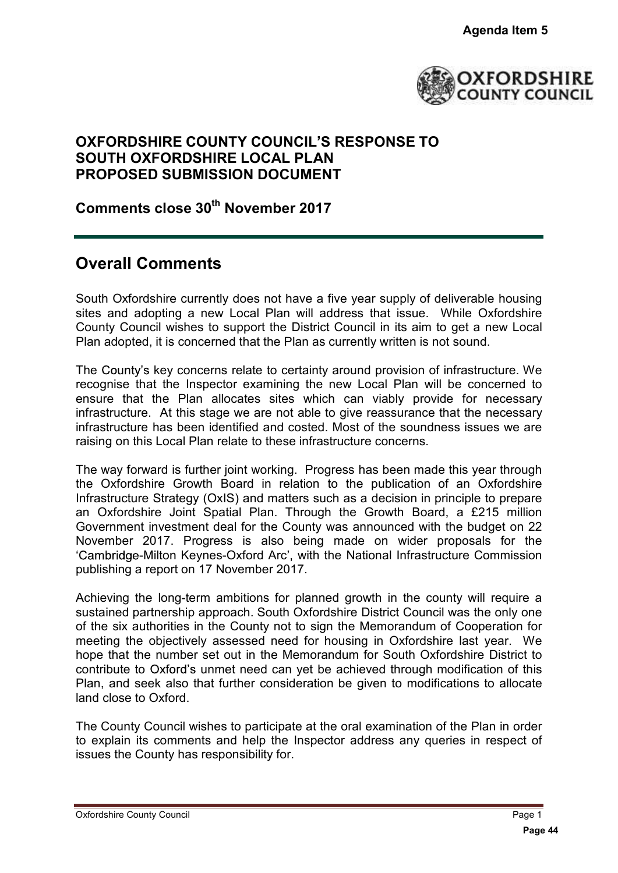

## **OXFORDSHIRE COUNTY COUNCIL S RESPONSE TO SOUTH OXFORDSHIRE LOCAL PLAN PROPOSED SUBMISSION DOCUMENT**

**Comments close 30th November 2017**

## **Overall Comments**

South Oxfordshire currently does not have a five year supply of deliverable housing sites and adopting a new Local Plan will address that issue. While Oxfordshire County Council wishes to support the District Council in its aim to get a new Local Plan adopted, it is concerned that the Plan as currently written is not sound.

The County's key concerns relate to certainty around provision of infrastructure. We recognise that the Inspector examining the new Local Plan will be concerned to ensure that the Plan allocates sites which can viably provide for necessary infrastructure. At this stage we are not able to give reassurance that the necessary infrastructure has been identified and costed. Most of the soundness issues we are raising on this Local Plan relate to these infrastructure concerns.

The way forward is further joint working. Progress has been made this year through the Oxfordshire Growth Board in relation to the publication of an Oxfordshire Infrastructure Strategy (OxIS) and matters such as a decision in principle to prepare an Oxfordshire Joint Spatial Plan. Through the Growth Board, a £215 million Government investment deal for the County was announced with the budget on 22 November 2017. Progress is also being made on wider proposals for the 'Cambridge-Milton Keynes-Oxford Arc', with the National Infrastructure Commission publishing a report on 17 November 2017. **Pagenda Item 5<br>
PASTORDSF**<br> **PASTORDSF**<br> **PASTORDSF**<br> **PASTORDSF**<br> **PASTORDSF**<br> **PASTORDSF**<br> **PASTORDSF**<br> **PASTORDSF**<br> **EXECUTE ASTANDED ANDATGE AND INTERNATION**<br> **PASTORY CONSERVENT ASTANDED AND AND CONSERVENT AS the Com** 

Achieving the long-term ambitions for planned growth in the county will require a sustained partnership approach. South Oxfordshire District Council was the only one of the six authorities in the County not to sign the Memorandum of Cooperation for meeting the objectively assessed need for housing in Oxfordshire last year. We hope that the number set out in the Memorandum for South Oxfordshire District to contribute to Oxford's unmet need can yet be achieved through modification of this Plan, and seek also that further consideration be given to modifications to allocate land close to Oxford.

The County Council wishes to participate at the oral examination of the Plan in order to explain its comments and help the Inspector address any queries in respect of issues the County has responsibility for.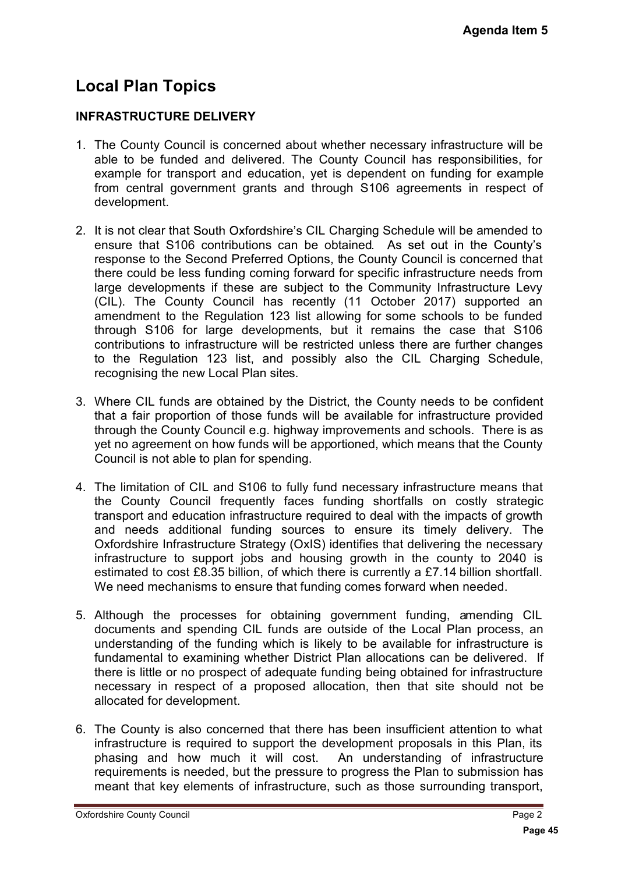# **Local Plan Topics**

### **INFRASTRUCTURE DELIVERY**

- 1. The County Council is concerned about whether necessary infrastructure will be able to be funded and delivered. The County Council has responsibilities, for example for transport and education, yet is dependent on funding for example from central government grants and through S106 agreements in respect of development.
- 2. It is not clear that South Oxfordshire's CIL Charging Schedule will be amended to ensure that S106 contributions can be obtained. As set out in the County's response to the Second Preferred Options, the County Council is concerned that there could be less funding coming forward for specific infrastructure needs from large developments if these are subject to the Community Infrastructure Levy (CIL). The County Council has recently (11 October 2017) supported an amendment to the Regulation 123 list allowing for some schools to be funded through S106 for large developments, but it remains the case that S106 contributions to infrastructure will be restricted unless there are further changes to the Regulation 123 list, and possibly also the CIL Charging Schedule, recognising the new Local Plan sites. Agenda Item 5<br>tructure will be<br>onsibilities, for<br>ong for example<br>in respect of<br>the County's<br>concerned that<br>are needs from<br>structure Levy<br>supported an<br>ite meds from<br>structure provided<br>as that S106<br>of the county supported is
- 3. Where CIL funds are obtained by the District, the County needs to be confident that a fair proportion of those funds will be available for infrastructure provided through the County Council e.g. highway improvements and schools. There is as yet no agreement on how funds will be apportioned, which means that the County Council is not able to plan for spending.
- 4. The limitation of CIL and S106 to fully fund necessary infrastructure means that the County Council frequently faces funding shortfalls on costly strategic transport and education infrastructure required to deal with the impacts of growth and needs additional funding sources to ensure its timely delivery. The Oxfordshire Infrastructure Strategy (OxIS) identifies that delivering the necessary infrastructure to support jobs and housing growth in the county to 2040 is estimated to cost £8.35 billion, of which there is currently a £7.14 billion shortfall. We need mechanisms to ensure that funding comes forward when needed.
- 5. Although the processes for obtaining government funding, amending CIL documents and spending CIL funds are outside of the Local Plan process, an understanding of the funding which is likely to be available for infrastructure is fundamental to examining whether District Plan allocations can be delivered. If there is little or no prospect of adequate funding being obtained for infrastructure necessary in respect of a proposed allocation, then that site should not be allocated for development.
- 6. The County is also concerned that there has been insufficient attention to what infrastructure is required to support the development proposals in this Plan, its phasing and how much it will cost. An understanding of infrastructure requirements is needed, but the pressure to progress the Plan to submission has meant that key elements of infrastructure, such as those surrounding transport,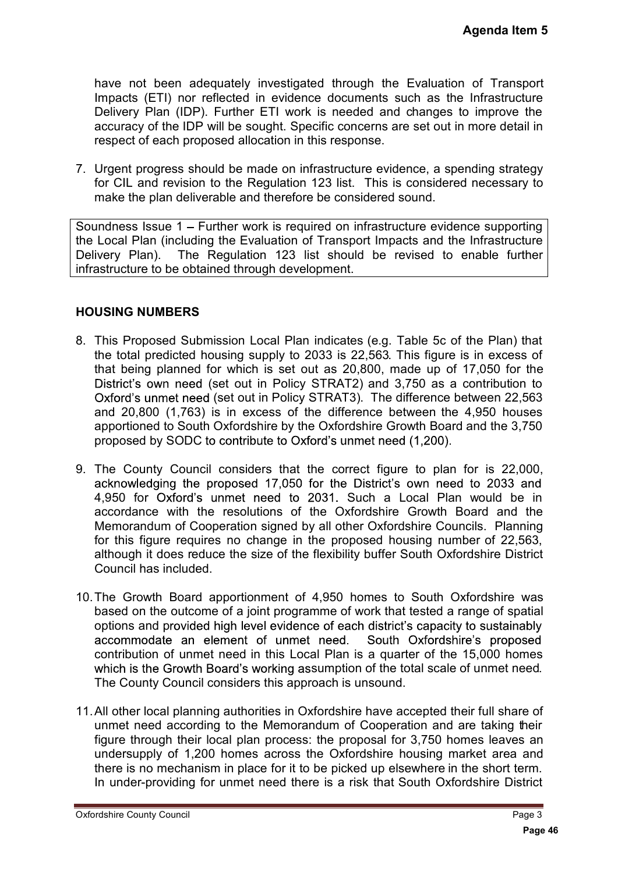have not been adequately investigated through the Evaluation of Transport Impacts (ETI) nor reflected in evidence documents such as the Infrastructure Delivery Plan (IDP). Further ETI work is needed and changes to improve the accuracy of the IDP will be sought. Specific concerns are set out in more detail in respect of each proposed allocation in this response.

7. Urgent progress should be made on infrastructure evidence, a spending strategy for CIL and revision to the Regulation 123 list. This is considered necessary to make the plan deliverable and therefore be considered sound.

Soundness Issue 1 – Further work is required on infrastructure evidence supporting the Local Plan (including the Evaluation of Transport Impacts and the Infrastructure Delivery Plan). The Regulation 123 list should be revised to enable further infrastructure to be obtained through development.

#### **HOUSING NUMBERS**

- 8. This Proposed Submission Local Plan indicates (e.g. Table 5c of the Plan) that the total predicted housing supply to 2033 is 22,563. This figure is in excess of that being planned for which is set out as 20,800, made up of 17,050 for the District's own need (set out in Policy STRAT2) and 3,750 as a contribution to Oxford's unmet need (set out in Policy STRAT3). The difference between 22,563 and 20,800 (1,763) is in excess of the difference between the 4,950 houses apportioned to South Oxfordshire by the Oxfordshire Growth Board and the 3,750 proposed by SODC to contribute to Oxford's unmet need (1,200).
- Agenda Item 5<br>
Infrastructure<br>
Infrastructure<br>
Infrastructure<br>
In more detail in<br>
Infrastructure<br>
Infrastructure<br>
enable further<br> **Page 1111/950** for the<br>
the Plan) that<br>
in excess of<br>
17,050 for the<br>
contribution to<br>
17,0 9. The County Council considers that the correct figure to plan for is 22,000, acknowledging the proposed 17,050 for the District's own need to 2033 and 4,950 for Oxford's unmet need to 2031. Such a Local Plan would be in accordance with the resolutions of the Oxfordshire Growth Board and the Memorandum of Cooperation signed by all other Oxfordshire Councils. Planning for this figure requires no change in the proposed housing number of 22,563, although it does reduce the size of the flexibility buffer South Oxfordshire District Council has included.
- 10.The Growth Board apportionment of 4,950 homes to South Oxfordshire was based on the outcome of a joint programme of work that tested a range of spatial options and provided high level evidence of each district's capacity to sustainably accommodate an element of unmet need. South Oxfordshire's proposed contribution of unmet need in this Local Plan is a quarter of the 15,000 homes which is the Growth Board's working assumption of the total scale of unmet need. The County Council considers this approach is unsound.
- 11.All other local planning authorities in Oxfordshire have accepted their full share of unmet need according to the Memorandum of Cooperation and are taking their figure through their local plan process: the proposal for 3,750 homes leaves an undersupply of 1,200 homes across the Oxfordshire housing market area and there is no mechanism in place for it to be picked up elsewhere in the short term. In under-providing for unmet need there is a risk that South Oxfordshire District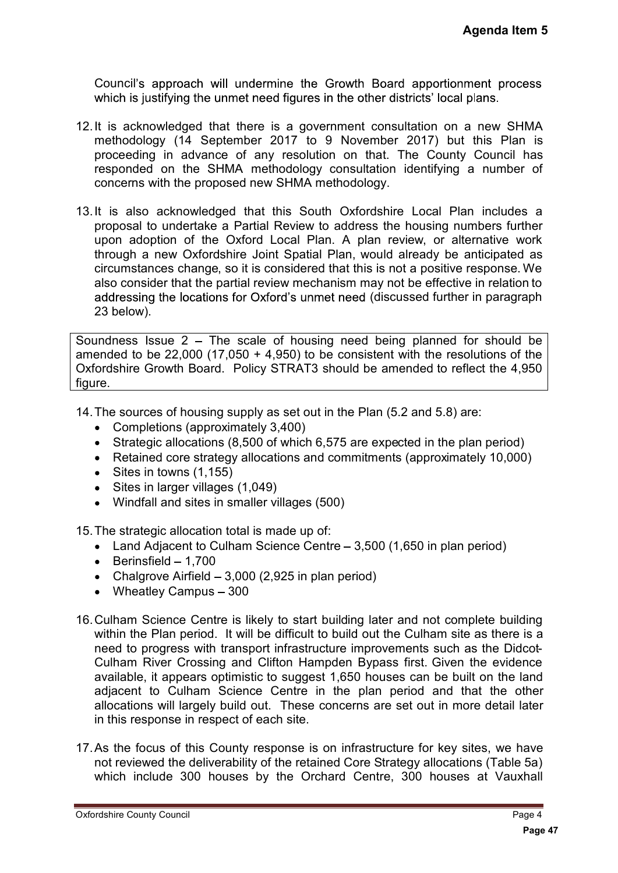Council's approach will undermine the Growth Board apportionment process which is justifying the unmet need figures in the other districts' local plans.

- 12.It is acknowledged that there is a government consultation on a new SHMA methodology (14 September 2017 to 9 November 2017) but this Plan is proceeding in advance of any resolution on that. The County Council has responded on the SHMA methodology consultation identifying a number of concerns with the proposed new SHMA methodology.
- 13.It is also acknowledged that this South Oxfordshire Local Plan includes a proposal to undertake a Partial Review to address the housing numbers further upon adoption of the Oxford Local Plan. A plan review, or alternative work through a new Oxfordshire Joint Spatial Plan, would already be anticipated as circumstances change, so it is considered that this is not a positive response. We also consider that the partial review mechanism may not be effective in relation to addressing the locations for Oxford's unmet need (discussed further in paragraph 23 below). **Agenda Item 5**<br>ment process<br>plans.<br>a new SHMA<br>t this Plan is<br>a number of<br>an includes a<br>tumbers further<br>ternative work<br>anticipated as<br>response. We in relation to<br>primary are in paragraph<br>for should be<br>flect the 4,950<br>are:<br>

Soundness Issue  $2 -$  The scale of housing need being planned for should be amended to be  $22,000$  (17,050 + 4,950) to be consistent with the resolutions of the Oxfordshire Growth Board. Policy STRAT3 should be amended to reflect the 4,950 figure.

14.The sources of housing supply as set out in the Plan (5.2 and 5.8) are:

- Completions (approximately 3,400)
- Strategic allocations (8,500 of which 6,575 are expected in the plan period)
- Retained core strategy allocations and commitments (approximately 10,000)
- $\bullet$  Sites in towns  $(1,155)$
- Sites in larger villages (1,049)
- Windfall and sites in smaller villages (500)

15.The strategic allocation total is made up of:

- Land Adjacent to Culham Science Centre  $-3,500$  (1,650 in plan period)
- $\bullet$  Berinsfield  $-1.700$
- Chalgrove Airfield  $-3,000$  (2,925 in plan period)
- $\bullet$  Wheatley Campus  $-300$
- 16.Culham Science Centre is likely to start building later and not complete building within the Plan period. It will be difficult to build out the Culham site as there is a need to progress with transport infrastructure improvements such as the Didcot-Culham River Crossing and Clifton Hampden Bypass first. Given the evidence available, it appears optimistic to suggest 1,650 houses can be built on the land adjacent to Culham Science Centre in the plan period and that the other allocations will largely build out. These concerns are set out in more detail later in this response in respect of each site.
- 17.As the focus of this County response is on infrastructure for key sites, we have not reviewed the deliverability of the retained Core Strategy allocations (Table 5a) which include 300 houses by the Orchard Centre, 300 houses at Vauxhall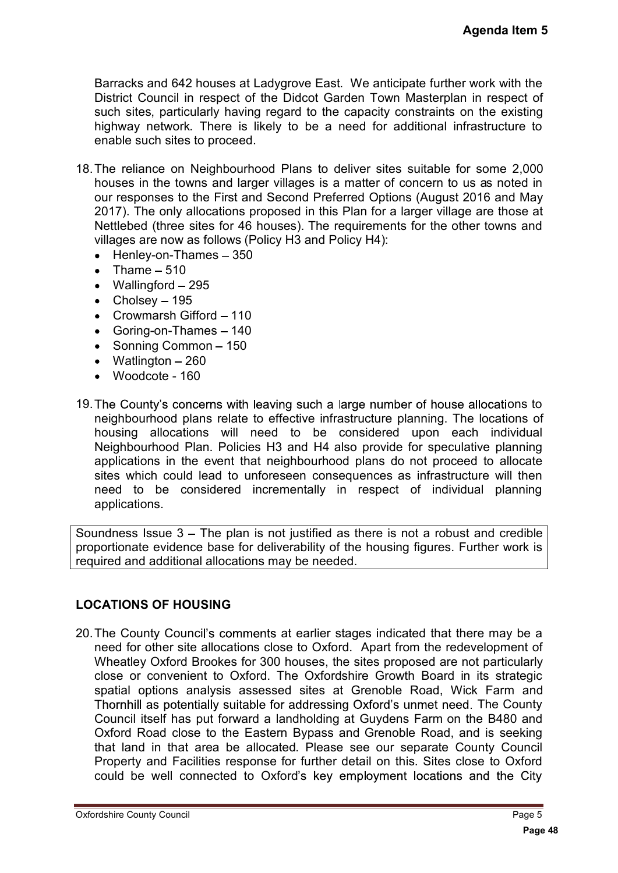Barracks and 642 houses at Ladygrove East. We anticipate further work with the District Council in respect of the Didcot Garden Town Masterplan in respect of such sites, particularly having regard to the capacity constraints on the existing highway network. There is likely to be a need for additional infrastructure to enable such sites to proceed.

- 18.The reliance on Neighbourhood Plans to deliver sites suitable for some 2,000 houses in the towns and larger villages is a matter of concern to us as noted in our responses to the First and Second Preferred Options (August 2016 and May 2017). The only allocations proposed in this Plan for a larger village are those at Nettlebed (three sites for 46 houses). The requirements for the other towns and villages are now as follows (Policy H3 and Policy H4):
	- $\bullet$  Henley-on-Thames  $-350$
	- Thame  $-510$
	- $\bullet$  Wallingford  $-295$
	- $\bullet$  Cholsey 195
	- Crowmarsh Gifford  $-110$
	- $\bullet$  Goring-on-Thames  $-140$
	- Sonning Common 150
	- $\bullet$  Watlington  $-260$
	- Woodcote 160
- 19. The County's concerns with leaving such a large number of house allocations to neighbourhood plans relate to effective infrastructure planning. The locations of housing allocations will need to be considered upon each individual Neighbourhood Plan. Policies H3 and H4 also provide for speculative planning applications in the event that neighbourhood plans do not proceed to allocate sites which could lead to unforeseen consequences as infrastructure will then need to be considered incrementally in respect of individual planning applications.

Soundness Issue  $3 -$  The plan is not justified as there is not a robust and credible proportionate evidence base for deliverability of the housing figures. Further work is required and additional allocations may be needed.

## **LOCATIONS OF HOUSING**

20. The County Council's comments at earlier stages indicated that there may be a need for other site allocations close to Oxford. Apart from the redevelopment of Wheatley Oxford Brookes for 300 houses, the sites proposed are not particularly close or convenient to Oxford. The Oxfordshire Growth Board in its strategic spatial options analysis assessed sites at Grenoble Road, Wick Farm and Thornhill as potentially suitable for addressing Oxford's unmet need. The County Council itself has put forward a landholding at Guydens Farm on the B480 and Oxford Road close to the Eastern Bypass and Grenoble Road, and is seeking that land in that area be allocated. Please see our separate County Council Property and Facilities response for further detail on this. Sites close to Oxford could be well connected to Oxford's key employment locations and the City Agenda Item 5<br>
If work with the<br>
in respect of<br>
in respect of<br>
frastructure to<br>
or some 2,000<br>
us as noted in<br>
2016 and May<br>
ge are those at<br>
her towns and<br>
allocations to<br>
elections of<br>
independent of<br>
independent of<br>
int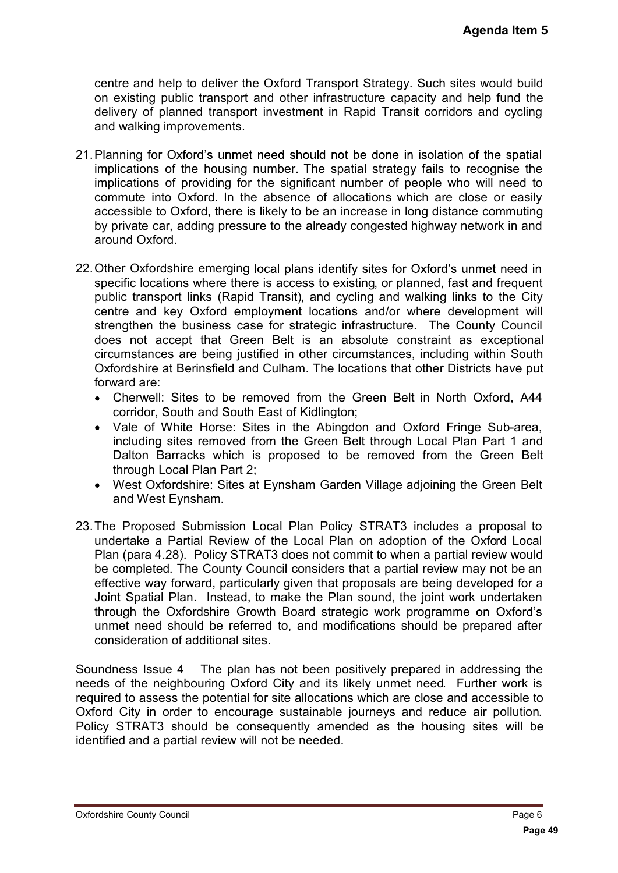centre and help to deliver the Oxford Transport Strategy. Such sites would build on existing public transport and other infrastructure capacity and help fund the delivery of planned transport investment in Rapid Transit corridors and cycling and walking improvements.

- 21. Planning for Oxford's unmet need should not be done in isolation of the spatial implications of the housing number. The spatial strategy fails to recognise the implications of providing for the significant number of people who will need to commute into Oxford. In the absence of allocations which are close or easily accessible to Oxford, there is likely to be an increase in long distance commuting by private car, adding pressure to the already congested highway network in and around Oxford.
- 22. Other Oxfordshire emerging local plans identify sites for Oxford's unmet need in specific locations where there is access to existing, or planned, fast and frequent public transport links (Rapid Transit), and cycling and walking links to the City centre and key Oxford employment locations and/or where development will strengthen the business case for strategic infrastructure. The County Council does not accept that Green Belt is an absolute constraint as exceptional circumstances are being justified in other circumstances, including within South Oxfordshire at Berinsfield and Culham. The locations that other Districts have put forward are: **Agenda Item 5**<br>es would build<br>help fund the<br>rs and cycling<br>in of the spatial<br>recognise the<br>o will need to<br>close or easily<br>ince commuting<br>network in and<br>unmet need in<br>st and frequent will<br>but welopment will<br>sa exceptional<br>
	- Cherwell: Sites to be removed from the Green Belt in North Oxford, A44 corridor, South and South East of Kidlington;
	- Vale of White Horse: Sites in the Abingdon and Oxford Fringe Sub-area, including sites removed from the Green Belt through Local Plan Part 1 and Dalton Barracks which is proposed to be removed from the Green Belt through Local Plan Part 2;
	- West Oxfordshire: Sites at Eynsham Garden Village adjoining the Green Belt and West Eynsham.
- 23.The Proposed Submission Local Plan Policy STRAT3 includes a proposal to undertake a Partial Review of the Local Plan on adoption of the Oxford Local Plan (para 4.28). Policy STRAT3 does not commit to when a partial review would be completed. The County Council considers that a partial review may not be an effective way forward, particularly given that proposals are being developed for a Joint Spatial Plan. Instead, to make the Plan sound, the joint work undertaken through the Oxfordshire Growth Board strategic work programme on Oxford's unmet need should be referred to, and modifications should be prepared after consideration of additional sites.

Soundness Issue 4 – The plan has not been positively prepared in addressing the needs of the neighbouring Oxford City and its likely unmet need. Further work is required to assess the potential for site allocations which are close and accessible to Oxford City in order to encourage sustainable journeys and reduce air pollution. Policy STRAT3 should be consequently amended as the housing sites will be identified and a partial review will not be needed.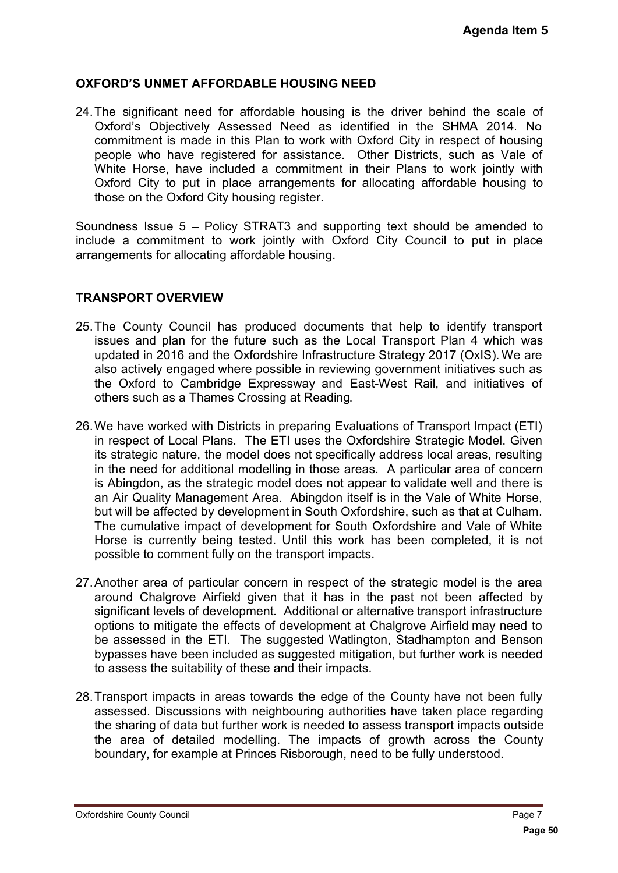#### **OXFORD'S UNMET AFFORDABLE HOUSING NEED**

24.The significant need for affordable housing is the driver behind the scale of Oxford's Objectively Assessed Need as identified in the SHMA 2014. No commitment is made in this Plan to work with Oxford City in respect of housing people who have registered for assistance. Other Districts, such as Vale of White Horse, have included a commitment in their Plans to work jointly with Oxford City to put in place arrangements for allocating affordable housing to those on the Oxford City housing register.

Soundness Issue 5 – Policy STRAT3 and supporting text should be amended to include a commitment to work jointly with Oxford City Council to put in place arrangements for allocating affordable housing.

#### **TRANSPORT OVERVIEW**

- 25.The County Council has produced documents that help to identify transport issues and plan for the future such as the Local Transport Plan 4 which was updated in 2016 and the Oxfordshire Infrastructure Strategy 2017 (OxIS). We are also actively engaged where possible in reviewing government initiatives such as the Oxford to Cambridge Expressway and East-West Rail, and initiatives of others such as a Thames Crossing at Reading.
- 26.We have worked with Districts in preparing Evaluations of Transport Impact (ETI) in respect of Local Plans. The ETI uses the Oxfordshire Strategic Model. Given its strategic nature, the model does not specifically address local areas, resulting in the need for additional modelling in those areas. A particular area of concern is Abingdon, as the strategic model does not appear to validate well and there is an Air Quality Management Area. Abingdon itself is in the Vale of White Horse, but will be affected by development in South Oxfordshire, such as that at Culham. The cumulative impact of development for South Oxfordshire and Vale of White Horse is currently being tested. Until this work has been completed, it is not possible to comment fully on the transport impacts. **Agenda Item 5**<br> **Contains 10 Page 6**<br> **Page 50 Page 6**<br> **Page 50 Page 6**<br> **Page 7 Page 8**<br> **Page 7 Page 8**<br> **Page 8**<br> **Page 7**<br> **Page 7**<br> **Page 7**<br> **Page 7**<br> **Page 7**<br> **Page 7**<br> **Page 7**<br> **Page 7**<br> **Page 50**<br> **P**
- 27.Another area of particular concern in respect of the strategic model is the area around Chalgrove Airfield given that it has in the past not been affected by significant levels of development. Additional or alternative transport infrastructure options to mitigate the effects of development at Chalgrove Airfield may need to be assessed in the ETI. The suggested Watlington, Stadhampton and Benson bypasses have been included as suggested mitigation, but further work is needed to assess the suitability of these and their impacts.
- 28.Transport impacts in areas towards the edge of the County have not been fully assessed. Discussions with neighbouring authorities have taken place regarding the sharing of data but further work is needed to assess transport impacts outside the area of detailed modelling. The impacts of growth across the County boundary, for example at Princes Risborough, need to be fully understood.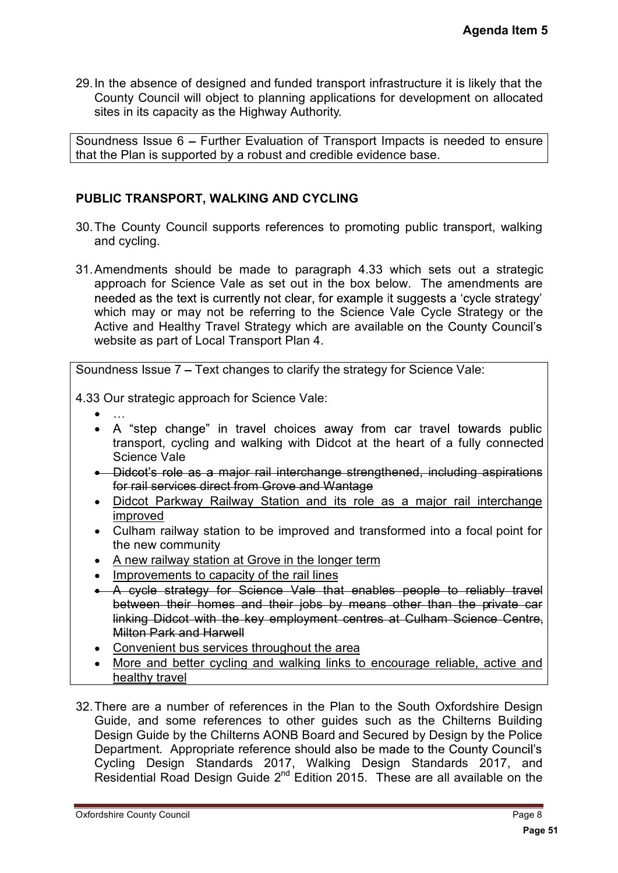29.In the absence of designed and funded transport infrastructure it is likely that the County Council will object to planning applications for development on allocated sites in its capacity as the Highway Authority.

Soundness Issue 6 - Further Evaluation of Transport Impacts is needed to ensure that the Plan is supported by a robust and credible evidence base.

#### **PUBLIC TRANSPORT, WALKING AND CYCLING**

- 30.The County Council supports references to promoting public transport, walking and cycling.
- **Agenda Item 5**<br> **Silikely that the**<br> **Page of the consumer and interact and deal to ensure and deal to ensure<br>
<b>Page 61 Consumer and Silically Connected**<br> **Page 31 Page 8**<br> **Page 311 Page 8**<br> **Page 8**<br> **Page 8**<br> **Pa** 31.Amendments should be made to paragraph 4.33 which sets out a strategic approach for Science Vale as set out in the box below. The amendments are needed as the text is currently not clear, for example it suggests a 'cycle strategy' which may or may not be referring to the Science Vale Cycle Strategy or the Active and Healthy Travel Strategy which are available on the County Council's website as part of Local Transport Plan 4.

Soundness Issue 7 – Text changes to clarify the strategy for Science Vale:

4.33 Our strategic approach for Science Vale:

- 
- A "step change" in travel choices away from car travel towards public transport, cycling and walking with Didcot at the heart of a fully connected Science Vale
- Didcot's role as a major rail interchange strengthened, including aspirations for rail services direct from Grove and Wantage
- Didcot Parkway Railway Station and its role as a major rail interchange improved
- Culham railway station to be improved and transformed into a focal point for the new community
- A new railway station at Grove in the longer term
- Improvements to capacity of the rail lines
- A cycle strategy for Science Vale that enables people to reliably travel between their homes and their jobs by means other than the private car linking Didcot with the key employment centres at Culham Science Centre, Milton Park and Harwell
- Convenient bus services throughout the area
- More and better cycling and walking links to encourage reliable, active and healthy travel
- 32.There are a number of references in the Plan to the South Oxfordshire Design Guide, and some references to other guides such as the Chilterns Building Design Guide by the Chilterns AONB Board and Secured by Design by the Police Department. Appropriate reference should also be made to the County Council's Cycling Design Standards 2017, Walking Design Standards 2017, and Residential Road Design Guide  $2^{nd}$  Edition 2015. These are all available on the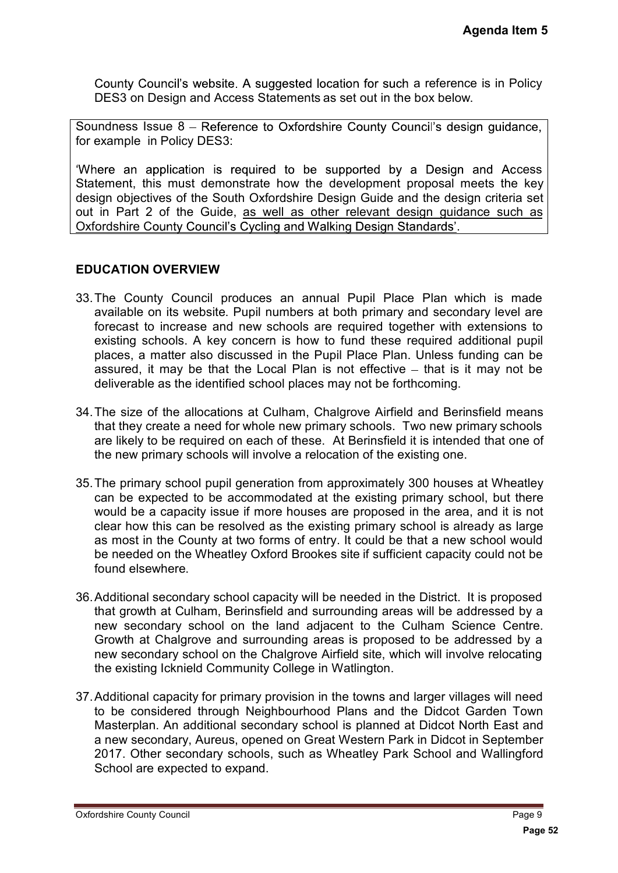County Council's website. A suggested location for such a reference is in Policy DES3 on Design and Access Statements as set out in the box below.

Soundness Issue 8 - Reference to Oxfordshire County Council's design guidance, for example in Policy DES3:

'Where an application is required to be supported by a Design and Access Statement, this must demonstrate how the development proposal meets the key design objectives of the South Oxfordshire Design Guide and the design criteria set out in Part 2 of the Guide, as well as other relevant design guidance such as Oxfordshire County Council's Cycling and Walking Design Standards'.

#### **EDUCATION OVERVIEW**

- 33.The County Council produces an annual Pupil Place Plan which is made available on its website. Pupil numbers at both primary and secondary level are forecast to increase and new schools are required together with extensions to existing schools. A key concern is how to fund these required additional pupil places, a matter also discussed in the Pupil Place Plan. Unless funding can be assured, it may be that the Local Plan is not effective  $-$  that is it may not be deliverable as the identified school places may not be forthcoming.
- 34.The size of the allocations at Culham, Chalgrove Airfield and Berinsfield means that they create a need for whole new primary schools. Two new primary schools are likely to be required on each of these. At Berinsfield it is intended that one of the new primary schools will involve a relocation of the existing one.
- 35.The primary school pupil generation from approximately 300 houses at Wheatley can be expected to be accommodated at the existing primary school, but there would be a capacity issue if more houses are proposed in the area, and it is not clear how this can be resolved as the existing primary school is already as large as most in the County at two forms of entry. It could be that a new school would be needed on the Wheatley Oxford Brookes site if sufficient capacity could not be found elsewhere. **Agenda Item 5**<br>
ice is in Policy<br>
w.<br>
sign guidance,<br>
n and Access<br>
meets the key<br>
sign criteria set<br>
ance such as<br>
ance such as<br>
dational pupil<br>
which is made<br>
data are extensions to<br>
dditional pupil<br>
it may not be<br>
insf
- 36.Additional secondary school capacity will be needed in the District. It is proposed that growth at Culham, Berinsfield and surrounding areas will be addressed by a new secondary school on the land adjacent to the Culham Science Centre. Growth at Chalgrove and surrounding areas is proposed to be addressed by a new secondary school on the Chalgrove Airfield site, which will involve relocating the existing Icknield Community College in Watlington.
- 37.Additional capacity for primary provision in the towns and larger villages will need to be considered through Neighbourhood Plans and the Didcot Garden Town Masterplan. An additional secondary school is planned at Didcot North East and a new secondary, Aureus, opened on Great Western Park in Didcot in September 2017. Other secondary schools, such as Wheatley Park School and Wallingford School are expected to expand.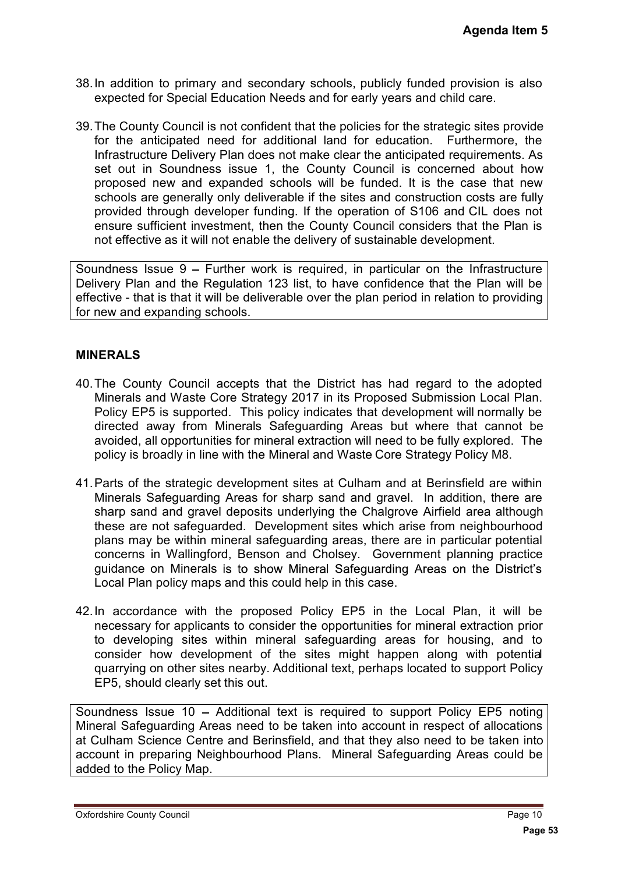- 38.In addition to primary and secondary schools, publicly funded provision is also expected for Special Education Needs and for early years and child care.
- 39.The County Council is not confident that the policies for the strategic sites provide for the anticipated need for additional land for education. Furthermore, the Infrastructure Delivery Plan does not make clear the anticipated requirements. As set out in Soundness issue 1, the County Council is concerned about how proposed new and expanded schools will be funded. It is the case that new schools are generally only deliverable if the sites and construction costs are fully provided through developer funding. If the operation of S106 and CIL does not ensure sufficient investment, then the County Council considers that the Plan is not effective as it will not enable the delivery of sustainable development. **Agenda Item 5**<br>
bovision is also<br>
d care.<br>
ic sites provide<br>
thermore, the<br>
quirements. As<br>
ed about how<br>
case that new<br>
costs are fully<br>
ICL does not<br>
and the Plan is<br>
ment.<br>
Infrastructure<br>
le Plan will be<br>
on to provid

Soundness Issue  $9$  – Further work is required, in particular on the Infrastructure Delivery Plan and the Regulation 123 list, to have confidence that the Plan will be effective - that is that it will be deliverable over the plan period in relation to providing for new and expanding schools.

#### **MINERALS**

- 40.The County Council accepts that the District has had regard to the adopted Minerals and Waste Core Strategy 2017 in its Proposed Submission Local Plan. Policy EP5 is supported. This policy indicates that development will normally be directed away from Minerals Safeguarding Areas but where that cannot be avoided, all opportunities for mineral extraction will need to be fully explored. The policy is broadly in line with the Mineral and Waste Core Strategy Policy M8.
- 41.Parts of the strategic development sites at Culham and at Berinsfield are within Minerals Safeguarding Areas for sharp sand and gravel. In addition, there are sharp sand and gravel deposits underlying the Chalgrove Airfield area although these are not safeguarded. Development sites which arise from neighbourhood plans may be within mineral safeguarding areas, there are in particular potential concerns in Wallingford, Benson and Cholsey. Government planning practice guidance on Minerals is to show Mineral Safeguarding Areas on the District's Local Plan policy maps and this could help in this case.
- 42.In accordance with the proposed Policy EP5 in the Local Plan, it will be necessary for applicants to consider the opportunities for mineral extraction prior to developing sites within mineral safeguarding areas for housing, and to consider how development of the sites might happen along with potential quarrying on other sites nearby. Additional text, perhaps located to support Policy EP5, should clearly set this out.

Soundness Issue 10 - Additional text is required to support Policy EP5 noting Mineral Safeguarding Areas need to be taken into account in respect of allocations at Culham Science Centre and Berinsfield, and that they also need to be taken into account in preparing Neighbourhood Plans. Mineral Safeguarding Areas could be added to the Policy Map.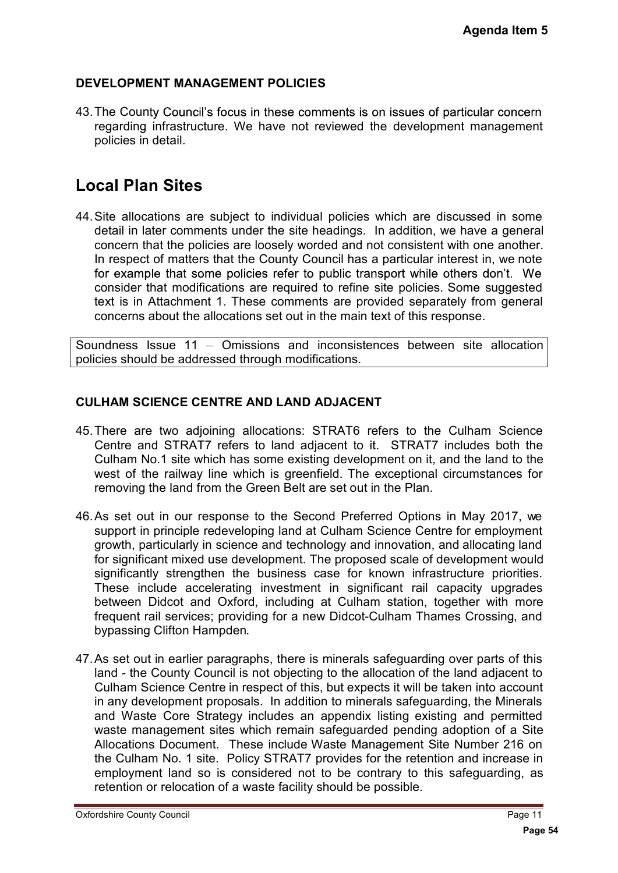## **DEVELOPMENT MANAGEMENT POLICIES**

43. The County Council's focus in these comments is on issues of particular concern regarding infrastructure. We have not reviewed the development management policies in detail.

# **Local Plan Sites**

44.Site allocations are subject to individual policies which are discussed in some detail in later comments under the site headings. In addition, we have a general concern that the policies are loosely worded and not consistent with one another. In respect of matters that the County Council has a particular interest in, we note for example that some policies refer to public transport while others don't. We consider that modifications are required to refine site policies. Some suggested text is in Attachment 1. These comments are provided separately from general concerns about the allocations set out in the main text of this response.

Soundness Issue 11 Omissions and inconsistences between site allocation policies should be addressed through modifications.

## **CULHAM SCIENCE CENTRE AND LAND ADJACENT**

- 45.There are two adjoining allocations: STRAT6 refers to the Culham Science Centre and STRAT7 refers to land adjacent to it. STRAT7 includes both the Culham No.1 site which has some existing development on it, and the land to the west of the railway line which is greenfield. The exceptional circumstances for removing the land from the Green Belt are set out in the Plan.
- 46.As set out in our response to the Second Preferred Options in May 2017, we support in principle redeveloping land at Culham Science Centre for employment growth, particularly in science and technology and innovation, and allocating land for significant mixed use development. The proposed scale of development would significantly strengthen the business case for known infrastructure priorities. These include accelerating investment in significant rail capacity upgrades between Didcot and Oxford, including at Culham station, together with more frequent rail services; providing for a new Didcot-Culham Thames Crossing, and bypassing Clifton Hampden.
- 47.As set out in earlier paragraphs, there is minerals safeguarding over parts of this land - the County Council is not objecting to the allocation of the land adjacent to Culham Science Centre in respect of this, but expects it will be taken into account in any development proposals. In addition to minerals safeguarding, the Minerals and Waste Core Strategy includes an appendix listing existing and permitted waste management sites which remain safeguarded pending adoption of a Site Allocations Document. These include Waste Management Site Number 216 on the Culham No. 1 site. Policy STRAT7 provides for the retention and increase in employment land so is considered not to be contrary to this safeguarding, as retention or relocation of a waste facility should be possible. **Agenda Item 5**<br>
ticular concern<br>
trive management<br>
trive and the mean of the and therefore<br>
the mean of the suggested<br>
y from general<br>
nse.<br>
site allocation<br>
allocation<br>
allham Science<br>
udes both the<br>
the land to the<br>
the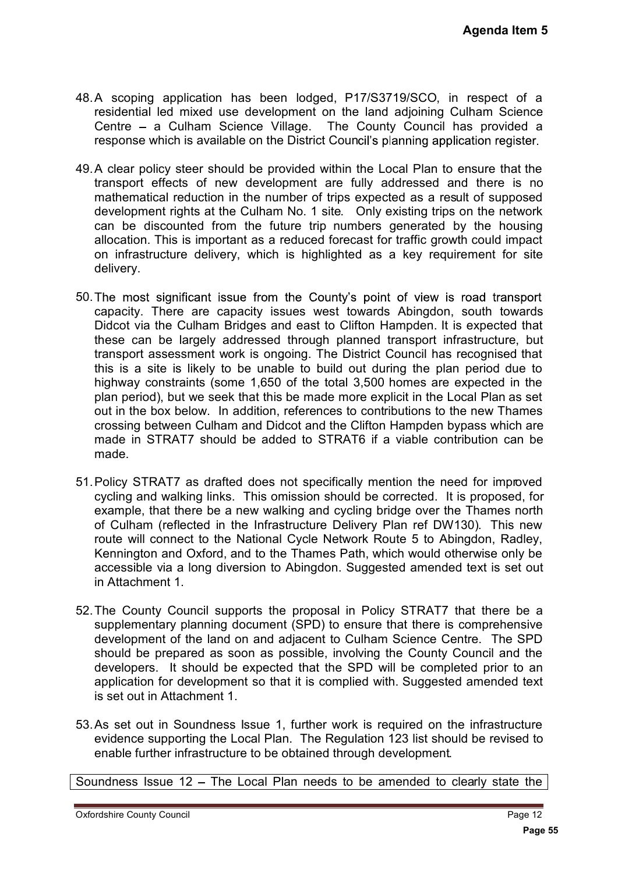- 48.A scoping application has been lodged, P17/S3719/SCO, in respect of a residential led mixed use development on the land adjoining Culham Science Centre a Culham Science Village. The County Council has provided a response which is available on the District Council's planning application register.
- 49.A clear policy steer should be provided within the Local Plan to ensure that the transport effects of new development are fully addressed and there is no mathematical reduction in the number of trips expected as a result of supposed development rights at the Culham No. 1 site. Only existing trips on the network can be discounted from the future trip numbers generated by the housing allocation. This is important as a reduced forecast for traffic growth could impact on infrastructure delivery, which is highlighted as a key requirement for site delivery.
- 50. The most significant issue from the County's point of view is road transport capacity. There are capacity issues west towards Abingdon, south towards Didcot via the Culham Bridges and east to Clifton Hampden. It is expected that these can be largely addressed through planned transport infrastructure, but transport assessment work is ongoing. The District Council has recognised that this is a site is likely to be unable to build out during the plan period due to highway constraints (some 1,650 of the total 3,500 homes are expected in the plan period), but we seek that this be made more explicit in the Local Plan as set out in the box below. In addition, references to contributions to the new Thames crossing between Culham and Didcot and the Clifton Hampden bypass which are made in STRAT7 should be added to STRAT6 if a viable contribution can be made. **Agenda Item 5**<br>respect of a ulham Science<br>as provided a<br>cation register.<br>ensure that the<br>d there is no<br>lt of supposed<br>point the neutwork<br>point of supposed<br>by the housing<br>ensured that<br>astructure, but<br>ecognised that<br>astruct
- 51.Policy STRAT7 as drafted does not specifically mention the need for improved cycling and walking links. This omission should be corrected. It is proposed, for example, that there be a new walking and cycling bridge over the Thames north of Culham (reflected in the Infrastructure Delivery Plan ref DW130). This new route will connect to the National Cycle Network Route 5 to Abingdon, Radley, Kennington and Oxford, and to the Thames Path, which would otherwise only be accessible via a long diversion to Abingdon. Suggested amended text is set out in Attachment 1.
- 52.The County Council supports the proposal in Policy STRAT7 that there be a supplementary planning document (SPD) to ensure that there is comprehensive development of the land on and adjacent to Culham Science Centre. The SPD should be prepared as soon as possible, involving the County Council and the developers. It should be expected that the SPD will be completed prior to an application for development so that it is complied with. Suggested amended text is set out in Attachment 1.
- 53.As set out in Soundness Issue 1, further work is required on the infrastructure evidence supporting the Local Plan. The Regulation 123 list should be revised to enable further infrastructure to be obtained through development.

Soundness Issue 12 - The Local Plan needs to be amended to clearly state the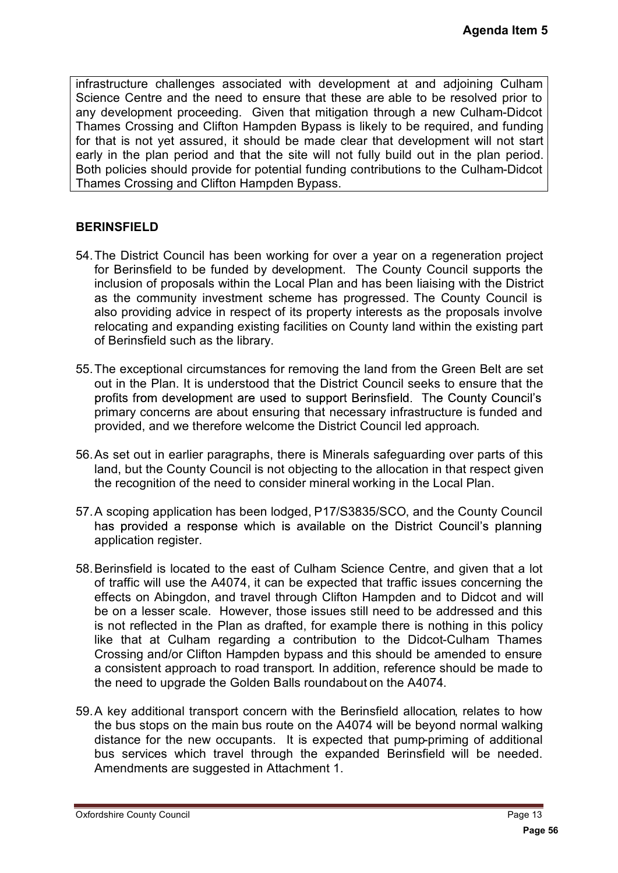infrastructure challenges associated with development at and adjoining Culham Science Centre and the need to ensure that these are able to be resolved prior to any development proceeding. Given that mitigation through a new Culham-Didcot Thames Crossing and Clifton Hampden Bypass is likely to be required, and funding for that is not yet assured, it should be made clear that development will not start early in the plan period and that the site will not fully build out in the plan period. Both policies should provide for potential funding contributions to the Culham-Didcot Thames Crossing and Clifton Hampden Bypass.

#### **BERINSFIELD**

- 54.The District Council has been working for over a year on a regeneration project for Berinsfield to be funded by development. The County Council supports the inclusion of proposals within the Local Plan and has been liaising with the District as the community investment scheme has progressed. The County Council is also providing advice in respect of its property interests as the proposals involve relocating and expanding existing facilities on County land within the existing part of Berinsfield such as the library.
- 55.The exceptional circumstances for removing the land from the Green Belt are set out in the Plan. It is understood that the District Council seeks to ensure that the profits from development are used to support Berinsfield. The County Council's primary concerns are about ensuring that necessary infrastructure is funded and provided, and we therefore welcome the District Council led approach.
- 56.As set out in earlier paragraphs, there is Minerals safeguarding over parts of this land, but the County Council is not objecting to the allocation in that respect given the recognition of the need to consider mineral working in the Local Plan.
- 57.A scoping application has been lodged, P17/S3835/SCO, and the County Council has provided a response which is available on the District Council's planning application register.
- 58.Berinsfield is located to the east of Culham Science Centre, and given that a lot of traffic will use the A4074, it can be expected that traffic issues concerning the effects on Abingdon, and travel through Clifton Hampden and to Didcot and will be on a lesser scale. However, those issues still need to be addressed and this is not reflected in the Plan as drafted, for example there is nothing in this policy like that at Culham regarding a contribution to the Didcot-Culham Thames Crossing and/or Clifton Hampden bypass and this should be amended to ensure a consistent approach to road transport. In addition, reference should be made to the need to upgrade the Golden Balls roundabout on the A4074. **Agenda Item 5**<br>
bining Culham<br>
solved prior to<br>
Culham-Didcot<br>
d, and funding<br>
the plan period.<br>
Culham-Didcot<br>
<br> **Page 18 Culham-Didcot**<br> **Page 18 Example 18 Culham-Didcot**<br> **Page 18 Example 18 Cuncil**<br> **Page 1**
- 59.A key additional transport concern with the Berinsfield allocation, relates to how the bus stops on the main bus route on the A4074 will be beyond normal walking distance for the new occupants. It is expected that pump-priming of additional bus services which travel through the expanded Berinsfield will be needed. Amendments are suggested in Attachment 1.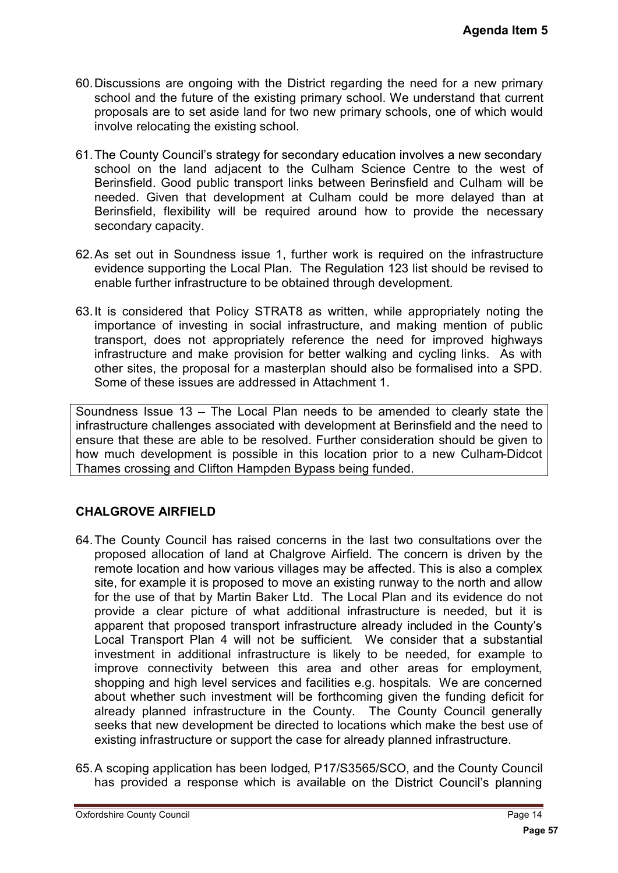- 60.Discussions are ongoing with the District regarding the need for a new primary school and the future of the existing primary school. We understand that current proposals are to set aside land for two new primary schools, one of which would involve relocating the existing school.
- 61. The County Council's strategy for secondary education involves a new secondary school on the land adjacent to the Culham Science Centre to the west of Berinsfield. Good public transport links between Berinsfield and Culham will be needed. Given that development at Culham could be more delayed than at Berinsfield, flexibility will be required around how to provide the necessary secondary capacity.
- 62.As set out in Soundness issue 1, further work is required on the infrastructure evidence supporting the Local Plan. The Regulation 123 list should be revised to enable further infrastructure to be obtained through development.
- 63.It is considered that Policy STRAT8 as written, while appropriately noting the importance of investing in social infrastructure, and making mention of public transport, does not appropriately reference the need for improved highways infrastructure and make provision for better walking and cycling links. As with other sites, the proposal for a masterplan should also be formalised into a SPD. Some of these issues are addressed in Attachment 1.

Soundness Issue 13 - The Local Plan needs to be amended to clearly state the infrastructure challenges associated with development at Berinsfield and the need to ensure that these are able to be resolved. Further consideration should be given to how much development is possible in this location prior to a new Culham-Didcot Thames crossing and Clifton Hampden Bypass being funded.

## **CHALGROVE AIRFIELD**

- 64.The County Council has raised concerns in the last two consultations over the proposed allocation of land at Chalgrove Airfield. The concern is driven by the remote location and how various villages may be affected. This is also a complex site, for example it is proposed to move an existing runway to the north and allow for the use of that by Martin Baker Ltd. The Local Plan and its evidence do not provide a clear picture of what additional infrastructure is needed, but it is apparent that proposed transport infrastructure already included in the County's Local Transport Plan 4 will not be sufficient. We consider that a substantial investment in additional infrastructure is likely to be needed, for example to improve connectivity between this area and other areas for employment, shopping and high level services and facilities e.g. hospitals. We are concerned about whether such investment will be forthcoming given the funding deficit for already planned infrastructure in the County. The County Council generally seeks that new development be directed to locations which make the best use of existing infrastructure or support the case for already planned infrastructure. **Agenda Item 5**<br>
a new primary<br>
nd that current<br>
nd that current<br>
new secondary<br>
be west of<br>
Culham will be<br>
layed than at<br>
the necessary<br>
a infrastructure<br>
d be revised to<br>
tely noting the<br>
tely noting the<br>
tely noting th
- 65.A scoping application has been lodged, P17/S3565/SCO, and the County Council has provided a response which is available on the District Council's planning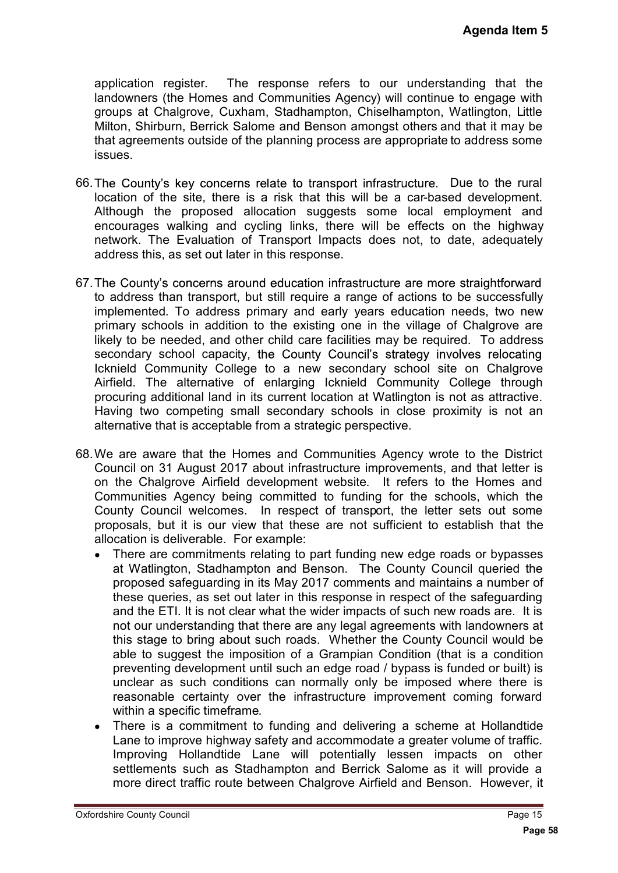application register. The response refers to our understanding that the landowners (the Homes and Communities Agency) will continue to engage with groups at Chalgrove, Cuxham, Stadhampton, Chiselhampton, Watlington, Little Milton, Shirburn, Berrick Salome and Benson amongst others and that it may be that agreements outside of the planning process are appropriate to address some issues.

- 66. The County's key concerns relate to transport infrastructure. Due to the rural location of the site, there is a risk that this will be a car-based development. Although the proposed allocation suggests some local employment and encourages walking and cycling links, there will be effects on the highway network. The Evaluation of Transport Impacts does not, to date, adequately address this, as set out later in this response.
- 67. The County's concerns around education infrastructure are more straightforward to address than transport, but still require a range of actions to be successfully implemented. To address primary and early years education needs, two new primary schools in addition to the existing one in the village of Chalgrove are likely to be needed, and other child care facilities may be required. To address secondary school capacity, the County Council's strategy involves relocating Icknield Community College to a new secondary school site on Chalgrove Airfield. The alternative of enlarging Icknield Community College through procuring additional land in its current location at Watlington is not as attractive. Having two competing small secondary schools in close proximity is not an alternative that is acceptable from a strategic perspective.
- 68.We are aware that the Homes and Communities Agency wrote to the District Council on 31 August 2017 about infrastructure improvements, and that letter is on the Chalgrove Airfield development website. It refers to the Homes and Communities Agency being committed to funding for the schools, which the County Council welcomes. In respect of transport, the letter sets out some proposals, but it is our view that these are not sufficient to establish that the allocation is deliverable. For example:
- Agenda Item 5<br>
ding that the<br>
ding that the<br>
dengage with<br>
atlington, Little<br>
that it may be<br>
address some<br>
ue to the rural<br>
development.<br>
ployment and<br>
ployment and<br>
the highway<br>
te, adequately<br>
straightforward<br>
es reloca  $\bullet$ There are commitments relating to part funding new edge roads or bypasses at Watlington, Stadhampton and Benson. The County Council queried the proposed safeguarding in its May 2017 comments and maintains a number of these queries, as set out later in this response in respect of the safeguarding and the ETI. It is not clear what the wider impacts of such new roads are. It is not our understanding that there are any legal agreements with landowners at this stage to bring about such roads. Whether the County Council would be able to suggest the imposition of a Grampian Condition (that is a condition preventing development until such an edge road / bypass is funded or built) is unclear as such conditions can normally only be imposed where there is reasonable certainty over the infrastructure improvement coming forward within a specific timeframe.
	- There is a commitment to funding and delivering a scheme at Hollandtide  $\bullet$ Lane to improve highway safety and accommodate a greater volume of traffic. Improving Hollandtide Lane will potentially lessen impacts on other settlements such as Stadhampton and Berrick Salome as it will provide a more direct traffic route between Chalgrove Airfield and Benson. However, it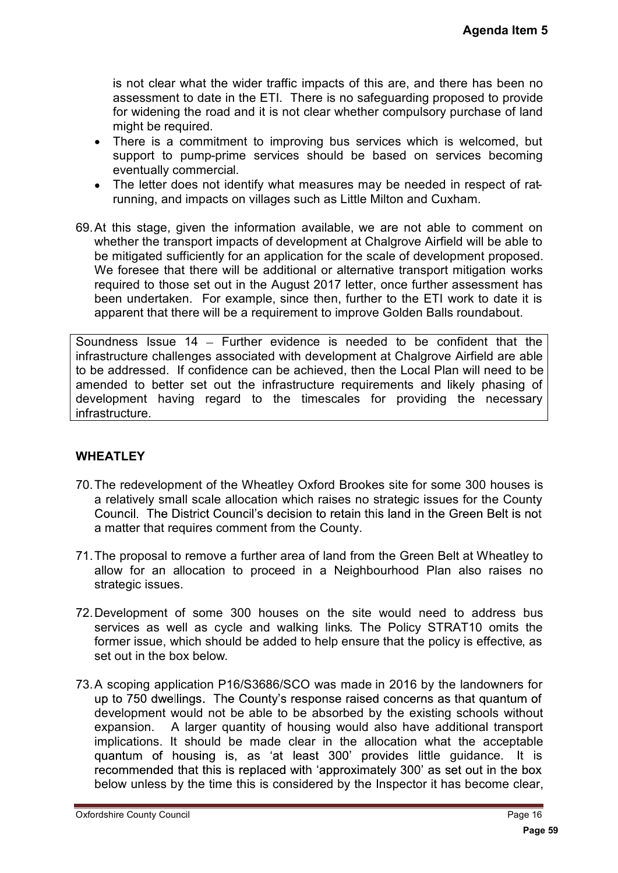is not clear what the wider traffic impacts of this are, and there has been no assessment to date in the ETI. There is no safeguarding proposed to provide for widening the road and it is not clear whether compulsory purchase of land might be required.

- There is a commitment to improving bus services which is welcomed, but  $\bullet$ support to pump-prime services should be based on services becoming eventually commercial.
- The letter does not identify what measures may be needed in respect of ratrunning, and impacts on villages such as Little Milton and Cuxham.
- 69.At this stage, given the information available, we are not able to comment on whether the transport impacts of development at Chalgrove Airfield will be able to be mitigated sufficiently for an application for the scale of development proposed. We foresee that there will be additional or alternative transport mitigation works required to those set out in the August 2017 letter, once further assessment has been undertaken. For example, since then, further to the ETI work to date it is apparent that there will be a requirement to improve Golden Balls roundabout.

Soundness Issue 14 - Further evidence is needed to be confident that the infrastructure challenges associated with development at Chalgrove Airfield are able to be addressed. If confidence can be achieved, then the Local Plan will need to be amended to better set out the infrastructure requirements and likely phasing of development having regard to the timescales for providing the necessary infrastructure.

#### **WHEATLEY**

- 70.The redevelopment of the Wheatley Oxford Brookes site for some 300 houses is a relatively small scale allocation which raises no strategic issues for the County Council. The District Council's decision to retain this land in the Green Belt is not a matter that requires comment from the County.
- 71.The proposal to remove a further area of land from the Green Belt at Wheatley to allow for an allocation to proceed in a Neighbourhood Plan also raises no strategic issues.
- 72.Development of some 300 houses on the site would need to address bus services as well as cycle and walking links. The Policy STRAT10 omits the former issue, which should be added to help ensure that the policy is effective, as set out in the box below.
- **Agenda Item 5**<br>
e has been no<br>
sed to provide<br>
irchase of land<br>
welcomed, but<br>
ces becoming<br>
respect of ratam.<br>
Docomment on<br>
will be able to<br>
itigation works<br>
sessment has<br>
nk to date it is<br>
will need to be<br>
will need 73.A scoping application P16/S3686/SCO was made in 2016 by the landowners for up to 750 dwellings. The County's response raised concerns as that quantum of development would not be able to be absorbed by the existing schools without expansion. A larger quantity of housing would also have additional transport implications. It should be made clear in the allocation what the acceptable quantum of housing is, as 'at least 300' provides little guidance. It is recommended that this is replaced with 'approximately 300' as set out in the box below unless by the time this is considered by the Inspector it has become clear,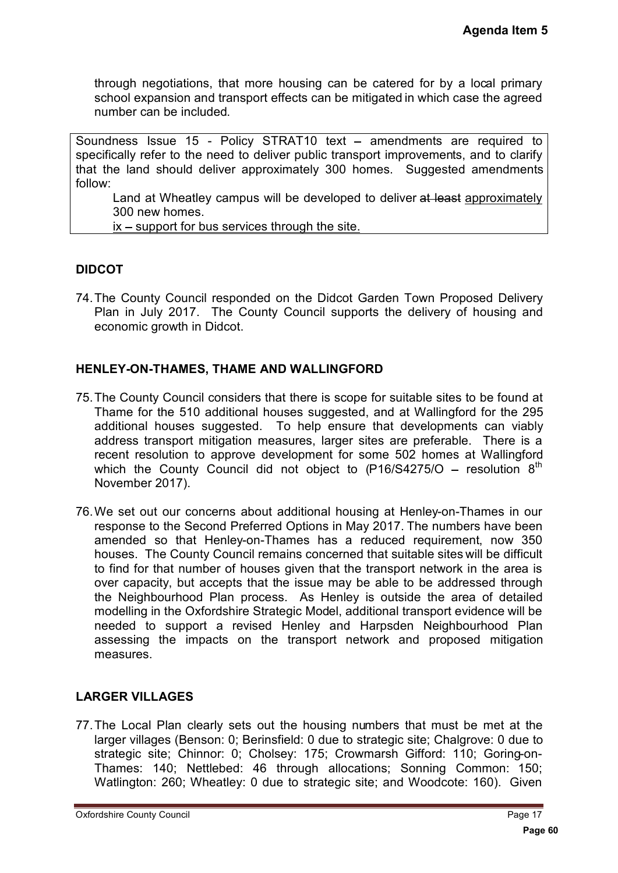through negotiations, that more housing can be catered for by a local primary school expansion and transport effects can be mitigated in which case the agreed number can be included.

Soundness Issue 15 - Policy STRAT10 text - amendments are required to specifically refer to the need to deliver public transport improvements, and to clarify that the land should deliver approximately 300 homes. Suggested amendments follow:

Land at Wheatley campus will be developed to deliver at least approximately 300 new homes.

 $ix$  – support for bus services through the site.

#### **DIDCOT**

74.The County Council responded on the Didcot Garden Town Proposed Delivery Plan in July 2017. The County Council supports the delivery of housing and economic growth in Didcot.

#### **HENLEY-ON-THAMES, THAME AND WALLINGFORD**

- 75.The County Council considers that there is scope for suitable sites to be found at Thame for the 510 additional houses suggested, and at Wallingford for the 295 additional houses suggested. To help ensure that developments can viably address transport mitigation measures, larger sites are preferable. There is a recent resolution to approve development for some 502 homes at Wallingford which the County Council did not object to  $(P16/S4275/O - resolution 8<sup>th</sup>)$ November 2017).
- 76.We set out our concerns about additional housing at Henley-on-Thames in our response to the Second Preferred Options in May 2017. The numbers have been amended so that Henley-on-Thames has a reduced requirement, now 350 houses. The County Council remains concerned that suitable sites will be difficult to find for that number of houses given that the transport network in the area is over capacity, but accepts that the issue may be able to be addressed through the Neighbourhood Plan process. As Henley is outside the area of detailed modelling in the Oxfordshire Strategic Model, additional transport evidence will be needed to support a revised Henley and Harpsden Neighbourhood Plan assessing the impacts on the transport network and proposed mitigation measures. **Agenda Item 5**<br> **Pagenda Item 5**<br> **Page 60 Example 1**<br> **Page 60 Example 1**<br> **Page 60 C**<br> **Page 60 C**<br> **Page 7**<br> **Page 7**<br> **Page 17**<br> **Page 17**<br> **Page 17**<br> **Page 17**<br> **Page 40**<br> **Page 17**<br> **Page 40**<br> **Page 17**<br> **Pa**

## **LARGER VILLAGES**

77.The Local Plan clearly sets out the housing numbers that must be met at the larger villages (Benson: 0; Berinsfield: 0 due to strategic site; Chalgrove: 0 due to strategic site; Chinnor: 0; Cholsey: 175; Crowmarsh Gifford: 110; Goring-on-Thames: 140; Nettlebed: 46 through allocations; Sonning Common: 150; Watlington: 260; Wheatley: 0 due to strategic site; and Woodcote: 160). Given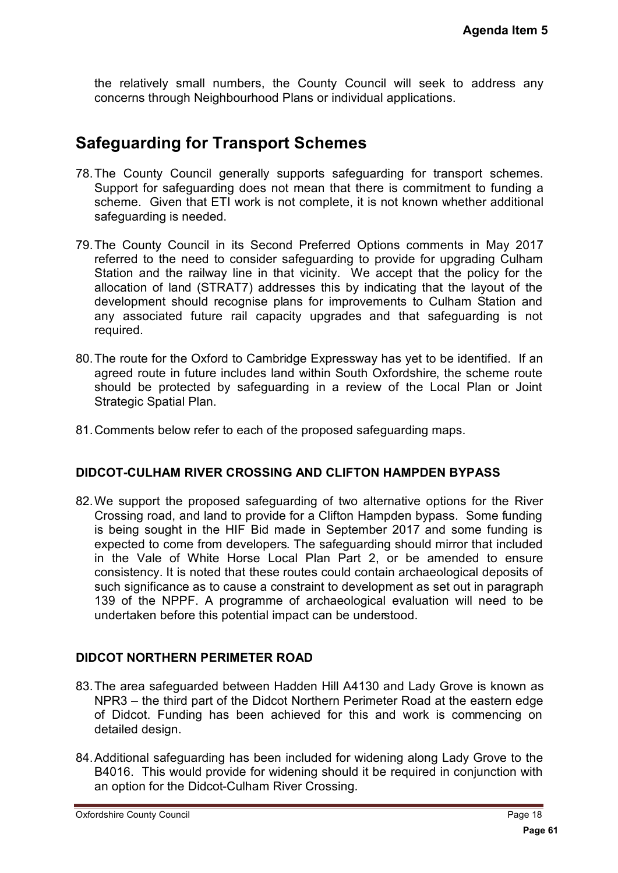the relatively small numbers, the County Council will seek to address any concerns through Neighbourhood Plans or individual applications.

## **Safeguarding for Transport Schemes**

- 78.The County Council generally supports safeguarding for transport schemes. Support for safeguarding does not mean that there is commitment to funding a scheme. Given that ETI work is not complete, it is not known whether additional safeguarding is needed.
- 79.The County Council in its Second Preferred Options comments in May 2017 referred to the need to consider safeguarding to provide for upgrading Culham Station and the railway line in that vicinity. We accept that the policy for the allocation of land (STRAT7) addresses this by indicating that the layout of the development should recognise plans for improvements to Culham Station and any associated future rail capacity upgrades and that safeguarding is not required.
- 80.The route for the Oxford to Cambridge Expressway has yet to be identified. If an agreed route in future includes land within South Oxfordshire, the scheme route should be protected by safeguarding in a review of the Local Plan or Joint Strategic Spatial Plan.
- 81.Comments below refer to each of the proposed safeguarding maps.

#### **DIDCOT-CULHAM RIVER CROSSING AND CLIFTON HAMPDEN BYPASS**

82.We support the proposed safeguarding of two alternative options for the River Crossing road, and land to provide for a Clifton Hampden bypass. Some funding is being sought in the HIF Bid made in September 2017 and some funding is expected to come from developers. The safeguarding should mirror that included in the Vale of White Horse Local Plan Part 2, or be amended to ensure consistency. It is noted that these routes could contain archaeological deposits of such significance as to cause a constraint to development as set out in paragraph 139 of the NPPF. A programme of archaeological evaluation will need to be undertaken before this potential impact can be understood. Agenda Item 5<br>
address any<br>
port schemes.<br>
to funding a<br>
ther additional<br>
in May 2017<br>
rading Culham<br>
policy for the<br>
layout of the<br>
m Station and<br>
arading is not<br>
dentified. If an<br>
scheme route<br>
Plan or Joint<br>
.<br>
.<br> **PASS** 

#### **DIDCOT NORTHERN PERIMETER ROAD**

- 83.The area safeguarded between Hadden Hill A4130 and Lady Grove is known as NPR3 – the third part of the Didcot Northern Perimeter Road at the eastern edge of Didcot. Funding has been achieved for this and work is commencing on detailed design.
- 84.Additional safeguarding has been included for widening along Lady Grove to the B4016. This would provide for widening should it be required in conjunction with an option for the Didcot-Culham River Crossing.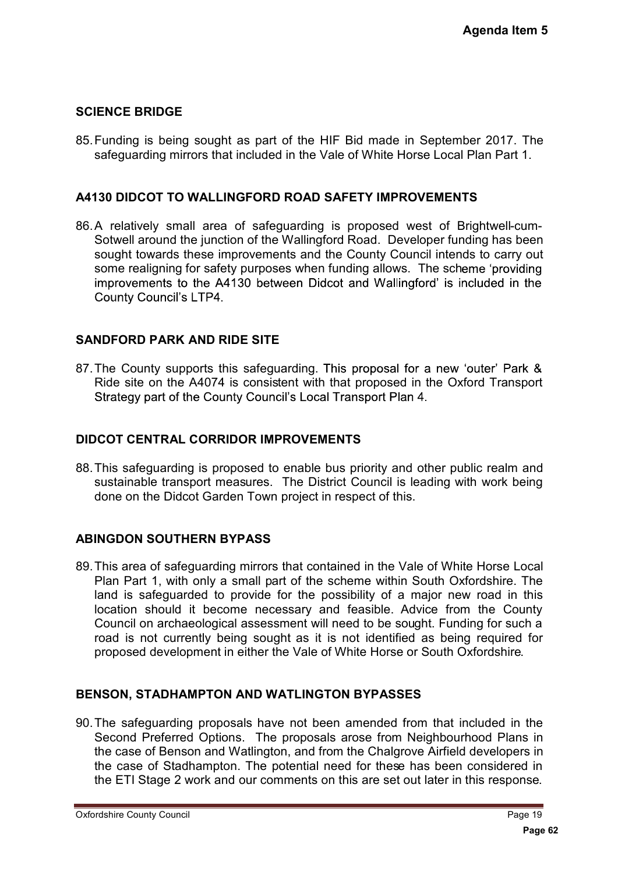### **SCIENCE BRIDGE**

85.Funding is being sought as part of the HIF Bid made in September 2017. The safeguarding mirrors that included in the Vale of White Horse Local Plan Part 1.

#### **A4130 DIDCOT TO WALLINGFORD ROAD SAFETY IMPROVEMENTS**

86.A relatively small area of safeguarding is proposed west of Brightwell-cum-Sotwell around the junction of the Wallingford Road. Developer funding has been sought towards these improvements and the County Council intends to carry out some realigning for safety purposes when funding allows. The scheme 'providing improvements to the A4130 between Didcot and Wallingford' is included in the **County Council's LTP4.** 

#### **SANDFORD PARK AND RIDE SITE**

87. The County supports this safeguarding. This proposal for a new 'outer' Park & Ride site on the A4074 is consistent with that proposed in the Oxford Transport Strategy part of the County Council's Local Transport Plan 4.

#### **DIDCOT CENTRAL CORRIDOR IMPROVEMENTS**

88.This safeguarding is proposed to enable bus priority and other public realm and sustainable transport measures. The District Council is leading with work being done on the Didcot Garden Town project in respect of this.

#### **ABINGDON SOUTHERN BYPASS**

89.This area of safeguarding mirrors that contained in the Vale of White Horse Local Plan Part 1, with only a small part of the scheme within South Oxfordshire. The land is safeguarded to provide for the possibility of a major new road in this location should it become necessary and feasible. Advice from the County Council on archaeological assessment will need to be sought. Funding for such a road is not currently being sought as it is not identified as being required for proposed development in either the Vale of White Horse or South Oxfordshire. Agenda Item 5<br>
ber 2017. The<br>
Plan Part 1.<br> **TS**<br>
Brightwell-cum-<br>
ding has been<br>
des to carry out<br>
eme 'providing<br>
mcluded in the<br>
"
outer' Park &<br>
ford Transport<br>
blic realm and<br>
white the County<br>
the County<br>
the County<br>

#### **BENSON, STADHAMPTON AND WATLINGTON BYPASSES**

90.The safeguarding proposals have not been amended from that included in the Second Preferred Options. The proposals arose from Neighbourhood Plans in the case of Benson and Watlington, and from the Chalgrove Airfield developers in the case of Stadhampton. The potential need for these has been considered in the ETI Stage 2 work and our comments on this are set out later in this response.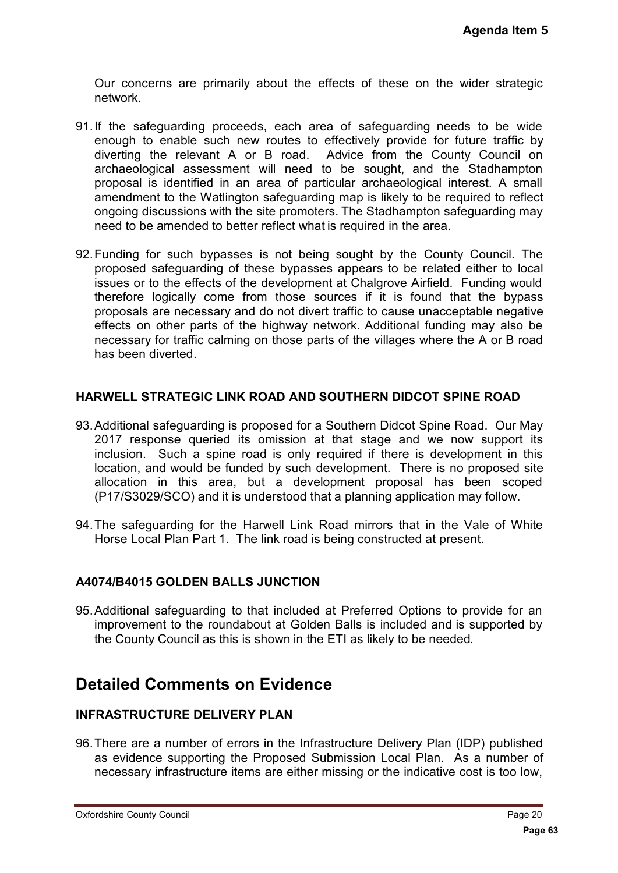Our concerns are primarily about the effects of these on the wider strategic network.

- 91.If the safeguarding proceeds, each area of safeguarding needs to be wide enough to enable such new routes to effectively provide for future traffic by diverting the relevant A or B road. Advice from the County Council on archaeological assessment will need to be sought, and the Stadhampton proposal is identified in an area of particular archaeological interest. A small amendment to the Watlington safeguarding map is likely to be required to reflect ongoing discussions with the site promoters. The Stadhampton safeguarding may need to be amended to better reflect what is required in the area.
- 92.Funding for such bypasses is not being sought by the County Council. The proposed safeguarding of these bypasses appears to be related either to local issues or to the effects of the development at Chalgrove Airfield. Funding would therefore logically come from those sources if it is found that the bypass proposals are necessary and do not divert traffic to cause unacceptable negative effects on other parts of the highway network. Additional funding may also be necessary for traffic calming on those parts of the villages where the A or B road has been diverted. Agenda Item 5<br>
wider strategic<br>
Is to be wide<br>
ture traffic by<br>
ty Council on<br>
Stadhampton<br>
erest. A small<br>
uired to reflect<br>
eguarding may<br>
(<br>
Council. The<br>
either to local<br>
at the bypass<br>
table negative<br>
y may also be<br>
a

#### **HARWELL STRATEGIC LINK ROAD AND SOUTHERN DIDCOT SPINE ROAD**

- 93.Additional safeguarding is proposed for a Southern Didcot Spine Road. Our May 2017 response queried its omission at that stage and we now support its inclusion. Such a spine road is only required if there is development in this location, and would be funded by such development. There is no proposed site allocation in this area, but a development proposal has been scoped (P17/S3029/SCO) and it is understood that a planning application may follow.
- 94.The safeguarding for the Harwell Link Road mirrors that in the Vale of White Horse Local Plan Part 1. The link road is being constructed at present.

#### **A4074/B4015 GOLDEN BALLS JUNCTION**

95.Additional safeguarding to that included at Preferred Options to provide for an improvement to the roundabout at Golden Balls is included and is supported by the County Council as this is shown in the ETI as likely to be needed.

## **Detailed Comments on Evidence**

#### **INFRASTRUCTURE DELIVERY PLAN**

96.There are a number of errors in the Infrastructure Delivery Plan (IDP) published as evidence supporting the Proposed Submission Local Plan. As a number of necessary infrastructure items are either missing or the indicative cost is too low,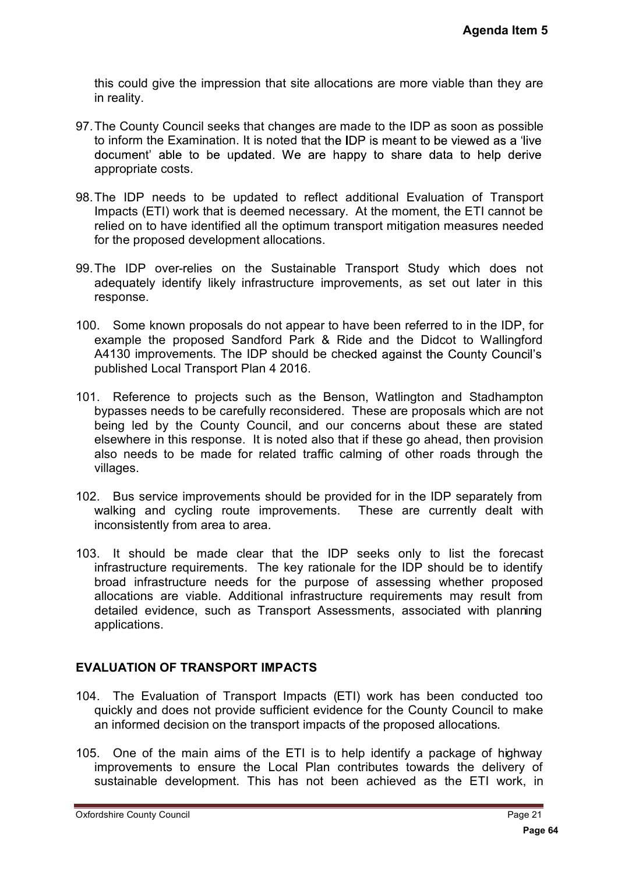this could give the impression that site allocations are more viable than they are in reality.

- 97.The County Council seeks that changes are made to the IDP as soon as possible to inform the Examination. It is noted that the IDP is meant to be viewed as a 'live document' able to be updated. We are happy to share data to help derive appropriate costs.
- 98.The IDP needs to be updated to reflect additional Evaluation of Transport Impacts (ETI) work that is deemed necessary. At the moment, the ETI cannot be relied on to have identified all the optimum transport mitigation measures needed for the proposed development allocations.
- 99.The IDP over-relies on the Sustainable Transport Study which does not adequately identify likely infrastructure improvements, as set out later in this response.
- 100. Some known proposals do not appear to have been referred to in the IDP, for example the proposed Sandford Park & Ride and the Didcot to Wallingford A4130 improvements. The IDP should be checked against the County Council's published Local Transport Plan 4 2016.
- 101. Reference to projects such as the Benson, Watlington and Stadhampton bypasses needs to be carefully reconsidered. These are proposals which are not being led by the County Council, and our concerns about these are stated elsewhere in this response. It is noted also that if these go ahead, then provision also needs to be made for related traffic calming of other roads through the villages.
- 102. Bus service improvements should be provided for in the IDP separately from walking and cycling route improvements. These are currently dealt with inconsistently from area to area.
- 103. It should be made clear that the IDP seeks only to list the forecast infrastructure requirements. The key rationale for the IDP should be to identify broad infrastructure needs for the purpose of assessing whether proposed allocations are viable. Additional infrastructure requirements may result from detailed evidence, such as Transport Assessments, associated with planning applications. Agenda Item 5<br> **Page 64 Page 64 Page 64 Page 64 Page 64 Page 64 Page 64 Page 64 Page 644 Page 644 Page 644 Page 644 Page 644 Page 644 Page 644 Page 644 Page 644 Page 644 Page 644 Page**

## **EVALUATION OF TRANSPORT IMPACTS**

- 104. The Evaluation of Transport Impacts (ETI) work has been conducted too quickly and does not provide sufficient evidence for the County Council to make an informed decision on the transport impacts of the proposed allocations.
- 105. One of the main aims of the ETI is to help identify a package of highway improvements to ensure the Local Plan contributes towards the delivery of sustainable development. This has not been achieved as the ETI work, in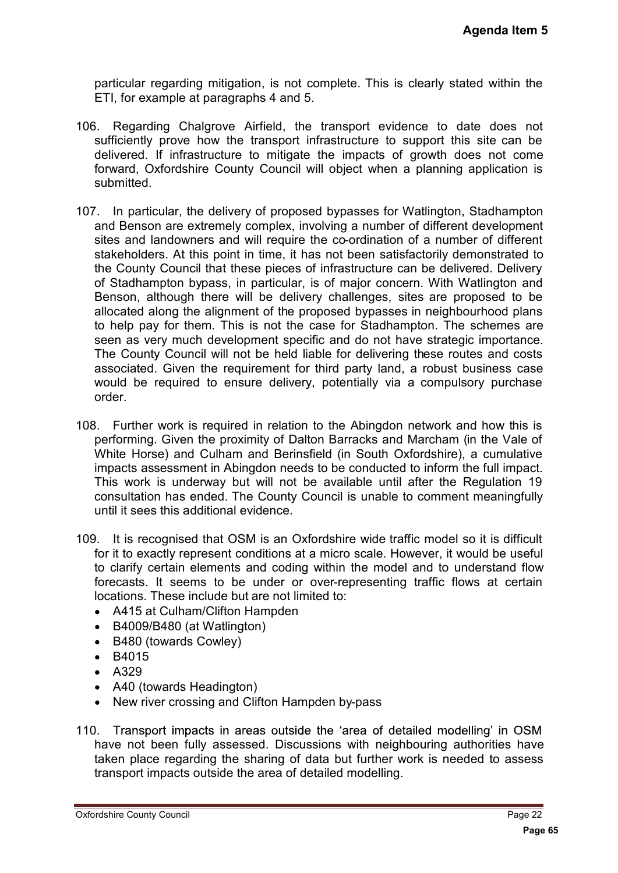particular regarding mitigation, is not complete. This is clearly stated within the ETI, for example at paragraphs 4 and 5.

- 106. Regarding Chalgrove Airfield, the transport evidence to date does not sufficiently prove how the transport infrastructure to support this site can be delivered. If infrastructure to mitigate the impacts of growth does not come forward, Oxfordshire County Council will object when a planning application is submitted.
- 107. In particular, the delivery of proposed bypasses for Watlington, Stadhampton and Benson are extremely complex, involving a number of different development sites and landowners and will require the co-ordination of a number of different stakeholders. At this point in time, it has not been satisfactorily demonstrated to the County Council that these pieces of infrastructure can be delivered. Delivery of Stadhampton bypass, in particular, is of major concern. With Watlington and Benson, although there will be delivery challenges, sites are proposed to be allocated along the alignment of the proposed bypasses in neighbourhood plans to help pay for them. This is not the case for Stadhampton. The schemes are seen as very much development specific and do not have strategic importance. The County Council will not be held liable for delivering these routes and costs associated. Given the requirement for third party land, a robust business case would be required to ensure delivery, potentially via a compulsory purchase order. Agenda Item 5<br>ated within the<br>ated within the<br>ated coes not<br>ones not come<br>application is<br>poses not come<br>application is<br>assumed to the over-<br>of different<br>postage of different<br>and conder of the scheme scheme is chosen in the
- 108. Further work is required in relation to the Abingdon network and how this is performing. Given the proximity of Dalton Barracks and Marcham (in the Vale of White Horse) and Culham and Berinsfield (in South Oxfordshire), a cumulative impacts assessment in Abingdon needs to be conducted to inform the full impact. This work is underway but will not be available until after the Regulation 19 consultation has ended. The County Council is unable to comment meaningfully until it sees this additional evidence.
- 109. It is recognised that OSM is an Oxfordshire wide traffic model so it is difficult for it to exactly represent conditions at a micro scale. However, it would be useful to clarify certain elements and coding within the model and to understand flow forecasts. It seems to be under or over-representing traffic flows at certain locations. These include but are not limited to:
	- A415 at Culham/Clifton Hampden  $\bullet$
	- B4009/B480 (at Watlington)
	- B480 (towards Cowley)
	- B4015
	- $A329$
	- A40 (towards Headington)
	- New river crossing and Clifton Hampden by-pass
- 110. Transport impacts in areas outside the 'area of detailed modelling' in OSM have not been fully assessed. Discussions with neighbouring authorities have taken place regarding the sharing of data but further work is needed to assess transport impacts outside the area of detailed modelling.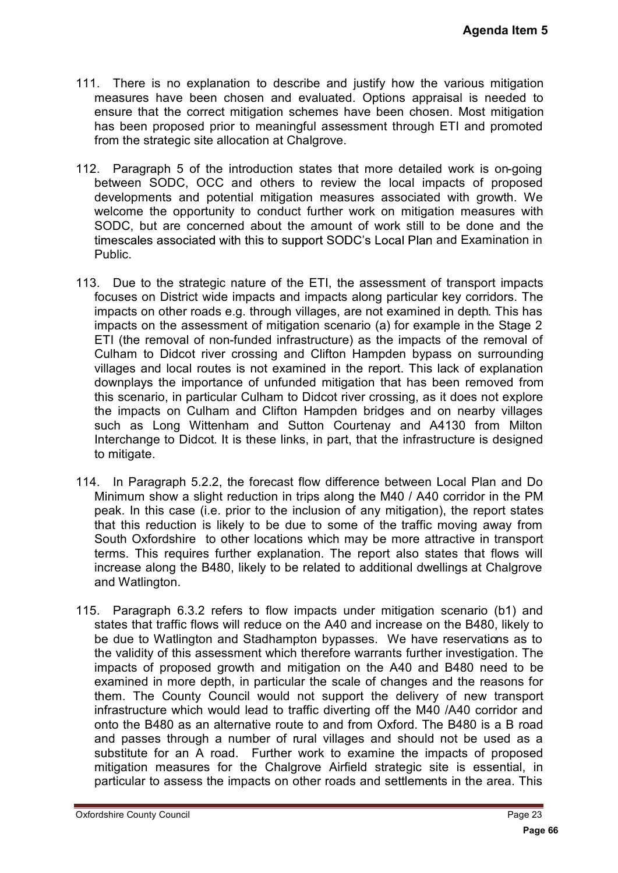- 111. There is no explanation to describe and justify how the various mitigation measures have been chosen and evaluated. Options appraisal is needed to ensure that the correct mitigation schemes have been chosen. Most mitigation has been proposed prior to meaningful assessment through ETI and promoted from the strategic site allocation at Chalgrove.
- 112. Paragraph 5 of the introduction states that more detailed work is on-going between SODC, OCC and others to review the local impacts of proposed developments and potential mitigation measures associated with growth. We welcome the opportunity to conduct further work on mitigation measures with SODC, but are concerned about the amount of work still to be done and the timescales associated with this to support SODC's Local Plan and Examination in Public.
- 113. Due to the strategic nature of the ETI, the assessment of transport impacts focuses on District wide impacts and impacts along particular key corridors. The impacts on other roads e.g. through villages, are not examined in depth. This has impacts on the assessment of mitigation scenario (a) for example in the Stage 2 ETI (the removal of non-funded infrastructure) as the impacts of the removal of Culham to Didcot river crossing and Clifton Hampden bypass on surrounding villages and local routes is not examined in the report. This lack of explanation downplays the importance of unfunded mitigation that has been removed from this scenario, in particular Culham to Didcot river crossing, as it does not explore the impacts on Culham and Clifton Hampden bridges and on nearby villages such as Long Wittenham and Sutton Courtenay and A4130 from Milton Interchange to Didcot. It is these links, in part, that the infrastructure is designed to mitigate. **Agenda Item 5**<br>
ious mitigation<br>
is needed to<br>
is needed to<br>
Most mitigation<br>
and promoted<br>
ork is on-going<br>
is of proposed<br>
h growth. We<br>
measures with<br>
done and the<br>
Examination in<br>
nsport impacts<br>
corridors. The<br>
lepth
- 114. In Paragraph 5.2.2, the forecast flow difference between Local Plan and Do Minimum show a slight reduction in trips along the M40 / A40 corridor in the PM peak. In this case (i.e. prior to the inclusion of any mitigation), the report states that this reduction is likely to be due to some of the traffic moving away from South Oxfordshire to other locations which may be more attractive in transport terms. This requires further explanation. The report also states that flows will increase along the B480, likely to be related to additional dwellings at Chalgrove and Watlington.
- 115. Paragraph 6.3.2 refers to flow impacts under mitigation scenario (b1) and states that traffic flows will reduce on the A40 and increase on the B480, likely to be due to Watlington and Stadhampton bypasses. We have reservations as to the validity of this assessment which therefore warrants further investigation. The impacts of proposed growth and mitigation on the A40 and B480 need to be examined in more depth, in particular the scale of changes and the reasons for them. The County Council would not support the delivery of new transport infrastructure which would lead to traffic diverting off the M40 /A40 corridor and onto the B480 as an alternative route to and from Oxford. The B480 is a B road and passes through a number of rural villages and should not be used as a substitute for an A road. Further work to examine the impacts of proposed mitigation measures for the Chalgrove Airfield strategic site is essential, in particular to assess the impacts on other roads and settlements in the area. This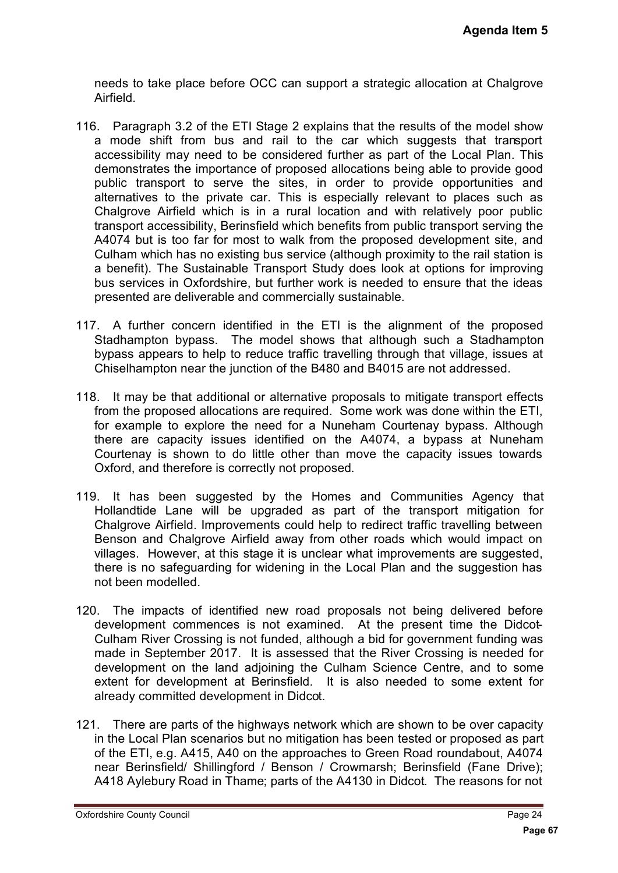needs to take place before OCC can support a strategic allocation at Chalgrove Airfield.

- 116. Paragraph 3.2 of the ETI Stage 2 explains that the results of the model show a mode shift from bus and rail to the car which suggests that transport accessibility may need to be considered further as part of the Local Plan. This demonstrates the importance of proposed allocations being able to provide good public transport to serve the sites, in order to provide opportunities and alternatives to the private car. This is especially relevant to places such as Chalgrove Airfield which is in a rural location and with relatively poor public transport accessibility, Berinsfield which benefits from public transport serving the A4074 but is too far for most to walk from the proposed development site, and Culham which has no existing bus service (although proximity to the rail station is a benefit). The Sustainable Transport Study does look at options for improving bus services in Oxfordshire, but further work is needed to ensure that the ideas presented are deliverable and commercially sustainable. Agenda Item 5<br>
a at Chalgrove<br>
be model show<br>
that transport<br>
boxide good<br>
ortunities and<br>
laces such as<br>
ly poor public<br>
ment site, and<br>
e rail station is<br>
for improving<br>
that the ideas<br>
the proposed<br>
Stadhampton<br>
lage, i
- 117. A further concern identified in the ETI is the alignment of the proposed Stadhampton bypass. The model shows that although such a Stadhampton bypass appears to help to reduce traffic travelling through that village, issues at Chiselhampton near the junction of the B480 and B4015 are not addressed.
- 118. It may be that additional or alternative proposals to mitigate transport effects from the proposed allocations are required. Some work was done within the ETI, for example to explore the need for a Nuneham Courtenay bypass. Although there are capacity issues identified on the A4074, a bypass at Nuneham Courtenay is shown to do little other than move the capacity issues towards Oxford, and therefore is correctly not proposed.
- 119. It has been suggested by the Homes and Communities Agency that Hollandtide Lane will be upgraded as part of the transport mitigation for Chalgrove Airfield. Improvements could help to redirect traffic travelling between Benson and Chalgrove Airfield away from other roads which would impact on villages. However, at this stage it is unclear what improvements are suggested, there is no safeguarding for widening in the Local Plan and the suggestion has not been modelled.
- 120. The impacts of identified new road proposals not being delivered before development commences is not examined. At the present time the Didcot-Culham River Crossing is not funded, although a bid for government funding was made in September 2017. It is assessed that the River Crossing is needed for development on the land adjoining the Culham Science Centre, and to some extent for development at Berinsfield. It is also needed to some extent for already committed development in Didcot.
- 121. There are parts of the highways network which are shown to be over capacity in the Local Plan scenarios but no mitigation has been tested or proposed as part of the ETI, e.g. A415, A40 on the approaches to Green Road roundabout, A4074 near Berinsfield/ Shillingford / Benson / Crowmarsh; Berinsfield (Fane Drive); A418 Aylebury Road in Thame; parts of the A4130 in Didcot. The reasons for not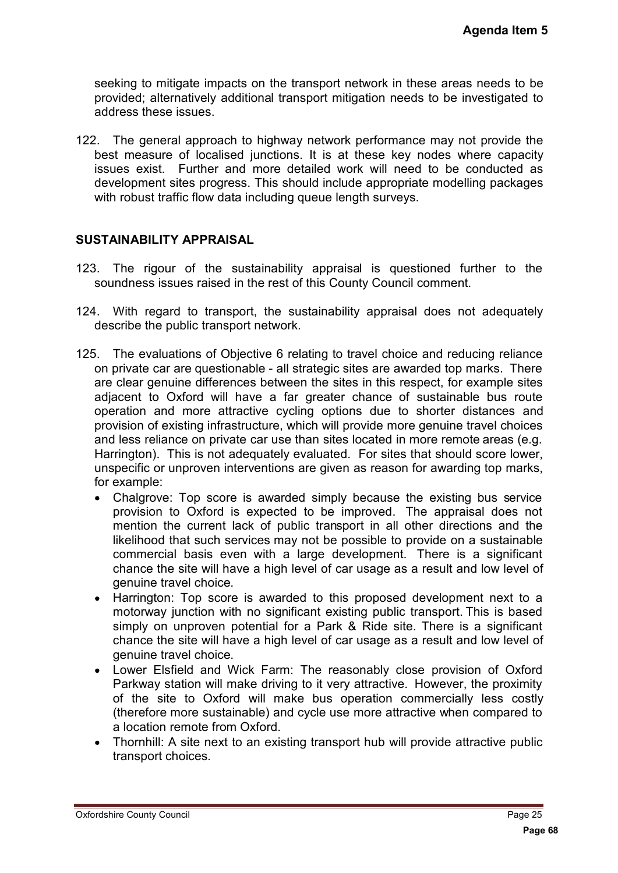seeking to mitigate impacts on the transport network in these areas needs to be provided; alternatively additional transport mitigation needs to be investigated to address these issues.

122. The general approach to highway network performance may not provide the best measure of localised junctions. It is at these key nodes where capacity issues exist. Further and more detailed work will need to be conducted as development sites progress. This should include appropriate modelling packages with robust traffic flow data including queue length surveys.

#### **SUSTAINABILITY APPRAISAL**

- 123. The rigour of the sustainability appraisal is questioned further to the soundness issues raised in the rest of this County Council comment.
- 124. With regard to transport, the sustainability appraisal does not adequately describe the public transport network.
- 125. The evaluations of Objective 6 relating to travel choice and reducing reliance on private car are questionable - all strategic sites are awarded top marks. There are clear genuine differences between the sites in this respect, for example sites adjacent to Oxford will have a far greater chance of sustainable bus route operation and more attractive cycling options due to shorter distances and provision of existing infrastructure, which will provide more genuine travel choices and less reliance on private car use than sites located in more remote areas (e.g. Harrington). This is not adequately evaluated. For sites that should score lower, unspecific or unproven interventions are given as reason for awarding top marks, for example: **Agenda Item 5**<br>as needs to be<br>investigated to<br>not provide the<br>vhere capacity<br>conducted as<br>illing packages<br>illing packages<br>illing packages<br>witht.<br>turther to the<br>t.<br>turther to the<br>distances marks. There<br>example sites<br>be bus
	- Chalgrove: Top score is awarded simply because the existing bus service  $\bullet$ provision to Oxford is expected to be improved. The appraisal does not mention the current lack of public transport in all other directions and the likelihood that such services may not be possible to provide on a sustainable commercial basis even with a large development. There is a significant chance the site will have a high level of car usage as a result and low level of genuine travel choice.
	- $\bullet$ Harrington: Top score is awarded to this proposed development next to a motorway junction with no significant existing public transport. This is based simply on unproven potential for a Park & Ride site. There is a significant chance the site will have a high level of car usage as a result and low level of genuine travel choice.
	- Lower Elsfield and Wick Farm: The reasonably close provision of Oxford Parkway station will make driving to it very attractive. However, the proximity of the site to Oxford will make bus operation commercially less costly (therefore more sustainable) and cycle use more attractive when compared to a location remote from Oxford.
	- Thornhill: A site next to an existing transport hub will provide attractive public transport choices.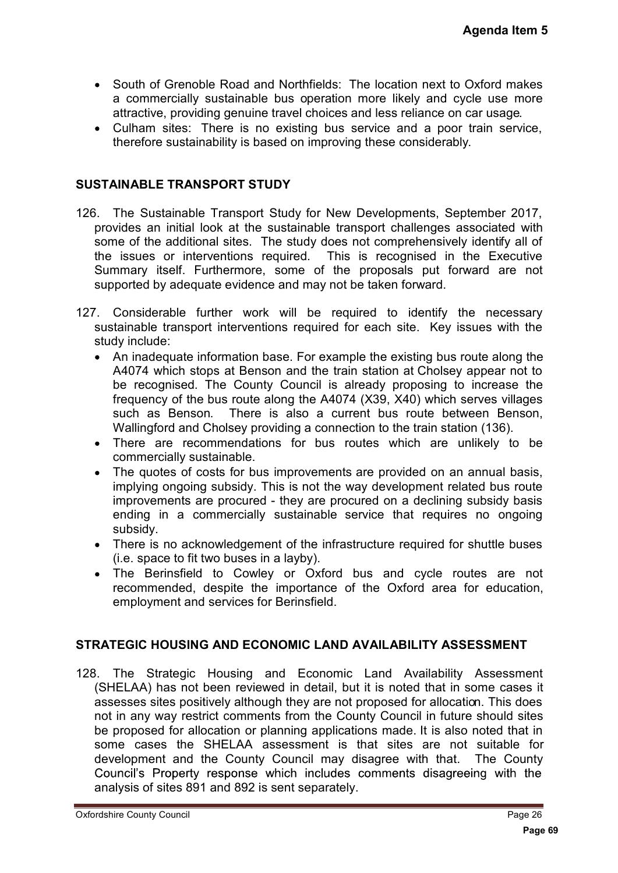- South of Grenoble Road and Northfields: The location next to Oxford makes a commercially sustainable bus operation more likely and cycle use more attractive, providing genuine travel choices and less reliance on car usage.
- Culham sites: There is no existing bus service and a poor train service, therefore sustainability is based on improving these considerably.

#### **SUSTAINABLE TRANSPORT STUDY**

- 126. The Sustainable Transport Study for New Developments, September 2017, provides an initial look at the sustainable transport challenges associated with some of the additional sites. The study does not comprehensively identify all of the issues or interventions required. This is recognised in the Executive Summary itself. Furthermore, some of the proposals put forward are not supported by adequate evidence and may not be taken forward.
- 127. Considerable further work will be required to identify the necessary sustainable transport interventions required for each site. Key issues with the study include:
	- An inadequate information base. For example the existing bus route along the A4074 which stops at Benson and the train station at Cholsey appear not to be recognised. The County Council is already proposing to increase the frequency of the bus route along the A4074 (X39, X40) which serves villages such as Benson. There is also a current bus route between Benson, Wallingford and Cholsey providing a connection to the train station (136).
	- There are recommendations for bus routes which are unlikely to be  $\bullet$ commercially sustainable.
	- $\bullet$ The quotes of costs for bus improvements are provided on an annual basis, implying ongoing subsidy. This is not the way development related bus route improvements are procured - they are procured on a declining subsidy basis ending in a commercially sustainable service that requires no ongoing subsidy.
	- $\bullet$ There is no acknowledgement of the infrastructure required for shuttle buses (i.e. space to fit two buses in a layby).
	- $\bullet$ The Berinsfield to Cowley or Oxford bus and cycle routes are not recommended, despite the importance of the Oxford area for education, employment and services for Berinsfield.

#### **STRATEGIC HOUSING AND ECONOMIC LAND AVAILABILITY ASSESSMENT**

128. The Strategic Housing and Economic Land Availability Assessment (SHELAA) has not been reviewed in detail, but it is noted that in some cases it assesses sites positively although they are not proposed for allocation. This does not in any way restrict comments from the County Council in future should sites be proposed for allocation or planning applications made. It is also noted that in some cases the SHELAA assessment is that sites are not suitable for development and the County Council may disagree with that. The County<br>Council's Property response which includes comments disagreeing with the analysis of sites 891 and 892 is sent separately. **Agenda Item 5**<br>
Oxford makes<br>
ccle use more<br>
car usage.<br>
train service,<br>
y.<br>
btember 2017, ssociated with<br>
y identify all of<br>
the Executive<br>
ward are not<br>
the necessary<br>
sues with the<br>
route along the<br>
appear not to<br>
incr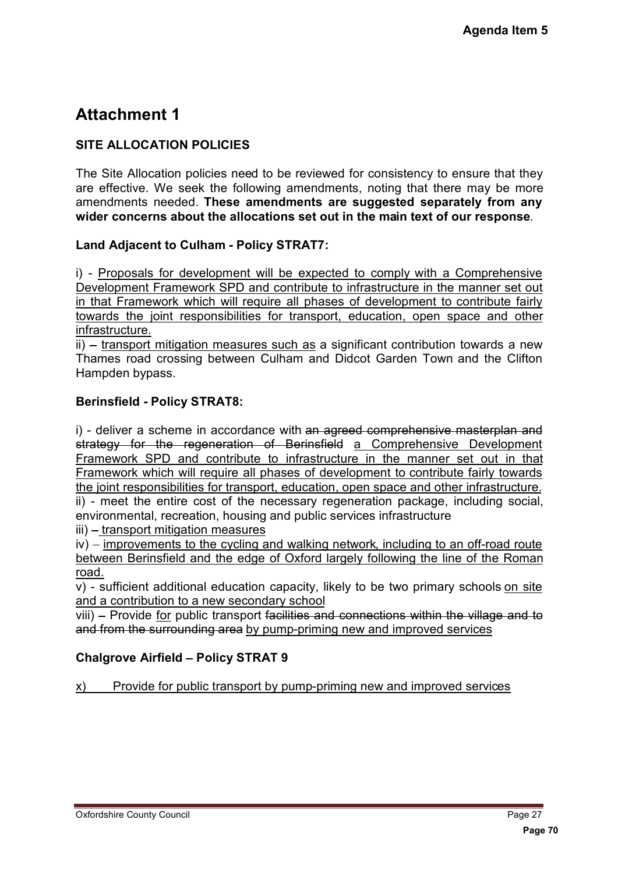# **Attachment 1**

## **SITE ALLOCATION POLICIES**

The Site Allocation policies need to be reviewed for consistency to ensure that they are effective. We seek the following amendments, noting that there may be more amendments needed. **These amendments are suggested separately from any wider concerns about the allocations set out in the main text of our response**.

## **Land Adjacent to Culham - Policy STRAT7:**

i) - Proposals for development will be expected to comply with a Comprehensive Development Framework SPD and contribute to infrastructure in the manner set out in that Framework which will require all phases of development to contribute fairly towards the joint responsibilities for transport, education, open space and other infrastructure.

ii) – transport mitigation measures such as a significant contribution towards a new Thames road crossing between Culham and Didcot Garden Town and the Clifton Hampden bypass.

## **Berinsfield - Policy STRAT8:**

i) - deliver a scheme in accordance with an agreed comprehensive masterplan and strategy for the regeneration of Berinsfield a Comprehensive Development Framework SPD and contribute to infrastructure in the manner set out in that Framework which will require all phases of development to contribute fairly towards the joint responsibilities for transport, education, open space and other infrastructure. ii) - meet the entire cost of the necessary regeneration package, including social, **Agenda Item 5**<br>
sure that they<br>
may be more<br>
tely from any<br>
interpance.<br>
<u>Comprehensive</u><br>
manner set out<br>
ontribute fairly<br>
acce and other<br>
nowards a new<br>
nasterplan and<br>
<u>Development</u><br>
nasterplan and<br>
<u>Development</u><br>
<u>nas</u>

environmental, recreation, housing and public services infrastructure

iii) - transport mitigation measures

 $iv$ ) – improvements to the cycling and walking network, including to an off-road route between Berinsfield and the edge of Oxford largely following the line of the Roman road.

v) - sufficient additional education capacity, likely to be two primary schools on site and a contribution to a new secondary school

viii) – Provide for public transport facilities and connections within the village and to and from the surrounding area by pump-priming new and improved services

## **Chalgrove Airfield - Policy STRAT 9**

x) Provide for public transport by pump-priming new and improved services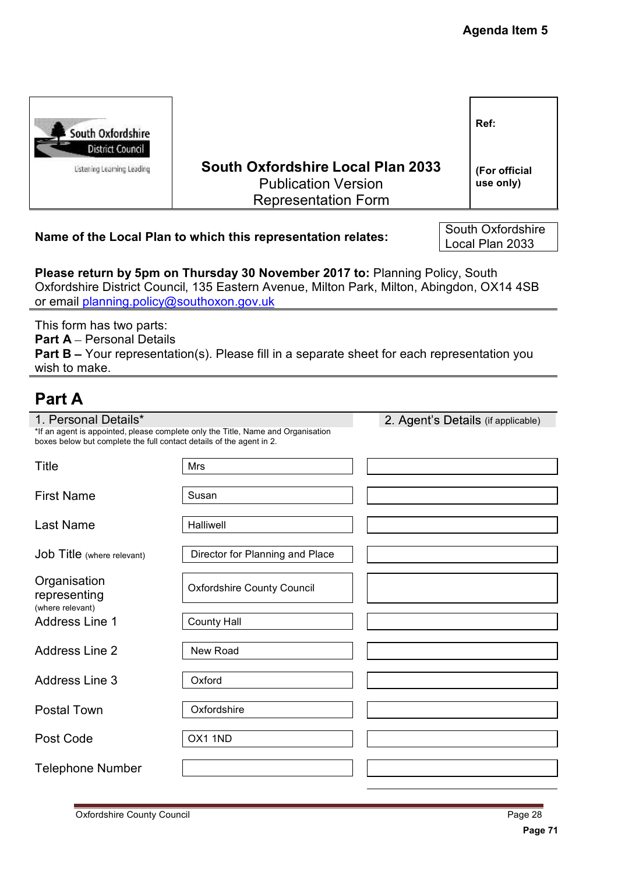| South Oxfordshire<br><b>District Council</b>                                                         |                                                                                               |  | Ref:                       |
|------------------------------------------------------------------------------------------------------|-----------------------------------------------------------------------------------------------|--|----------------------------|
| <b>Listening Learning Leading</b>                                                                    | South Oxfordshire Local Plan 2033<br><b>Publication Version</b><br><b>Representation Form</b> |  | (For official<br>use only) |
| South Oxfordshire<br>Name of the Local Plan to which this representation relates:<br>Local Plan 2033 |                                                                                               |  |                            |

# **Part A**

|                                                                                              |                                                                                                                                                                           | <b>Agenda Item 5</b>                 |
|----------------------------------------------------------------------------------------------|---------------------------------------------------------------------------------------------------------------------------------------------------------------------------|--------------------------------------|
|                                                                                              |                                                                                                                                                                           |                                      |
| South Oxfordshire                                                                            |                                                                                                                                                                           | Ref:                                 |
| <b>District Council</b><br><b>Listening Learning Leading</b>                                 | <b>South Oxfordshire Local Plan 2033</b><br><b>Publication Version</b><br><b>Representation Form</b>                                                                      | (For official<br>use only)           |
|                                                                                              | Name of the Local Plan to which this representation relates:                                                                                                              | South Oxfordshire<br>Local Plan 2033 |
| or email planning.policy@southoxon.gov.uk                                                    | Please return by 5pm on Thursday 30 November 2017 to: Planning Policy, South<br>Oxfordshire District Council, 135 Eastern Avenue, Milton Park, Milton, Abingdon, OX14 4SB |                                      |
| This form has two parts:<br><b>Part A - Personal Details</b><br>wish to make.                | <b>Part B</b> – Your representation(s). Please fill in a separate sheet for each representation you                                                                       |                                      |
| <b>Part A</b>                                                                                |                                                                                                                                                                           |                                      |
| 1. Personal Details*<br>boxes below but complete the full contact details of the agent in 2. | *If an agent is appointed, please complete only the Title, Name and Organisation                                                                                          | 2. Agent's Details (if applicable)   |
| Title                                                                                        | Mrs                                                                                                                                                                       |                                      |
| <b>First Name</b>                                                                            | Susan                                                                                                                                                                     |                                      |
| <b>Last Name</b>                                                                             | Halliwell                                                                                                                                                                 |                                      |
| <b>Job Title</b> (where relevant)                                                            | Director for Planning and Place                                                                                                                                           |                                      |
| Organisation<br>representing<br>(where relevant)                                             | <b>Oxfordshire County Council</b>                                                                                                                                         |                                      |
| <b>Address Line 1</b>                                                                        | <b>County Hall</b>                                                                                                                                                        |                                      |
| <b>Address Line 2</b>                                                                        | New Road                                                                                                                                                                  |                                      |
| <b>Address Line 3</b>                                                                        | Oxford                                                                                                                                                                    |                                      |
| <b>Postal Town</b>                                                                           | Oxfordshire                                                                                                                                                               |                                      |
| Post Code                                                                                    | OX1 1ND                                                                                                                                                                   |                                      |
| <b>Telephone Number</b>                                                                      |                                                                                                                                                                           |                                      |
| <b>Oxfordshire County Council</b>                                                            |                                                                                                                                                                           | Page 28<br>Page 71                   |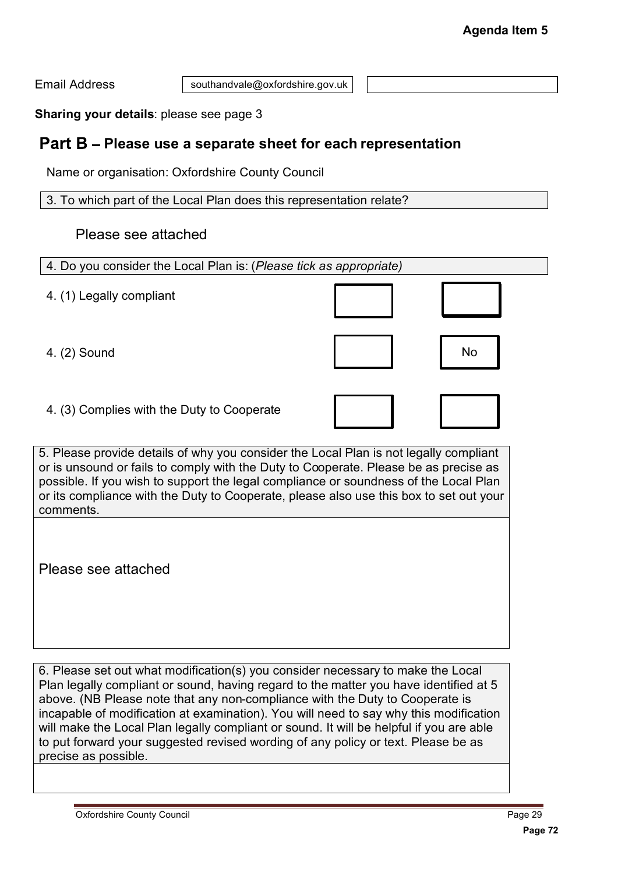## Part B - Please use a separate sheet for each representation

## Please see attached

|                                                                                                                                                                                                                                                                                                                                                                                                                                                                                                                                                           |                                 | <b>Agenda Item 5</b> |
|-----------------------------------------------------------------------------------------------------------------------------------------------------------------------------------------------------------------------------------------------------------------------------------------------------------------------------------------------------------------------------------------------------------------------------------------------------------------------------------------------------------------------------------------------------------|---------------------------------|----------------------|
| <b>Email Address</b>                                                                                                                                                                                                                                                                                                                                                                                                                                                                                                                                      | southandvale@oxfordshire.gov.uk |                      |
| Sharing your details: please see page 3                                                                                                                                                                                                                                                                                                                                                                                                                                                                                                                   |                                 |                      |
| Part B - Please use a separate sheet for each representation                                                                                                                                                                                                                                                                                                                                                                                                                                                                                              |                                 |                      |
| Name or organisation: Oxfordshire County Council                                                                                                                                                                                                                                                                                                                                                                                                                                                                                                          |                                 |                      |
| 3. To which part of the Local Plan does this representation relate?                                                                                                                                                                                                                                                                                                                                                                                                                                                                                       |                                 |                      |
| Please see attached                                                                                                                                                                                                                                                                                                                                                                                                                                                                                                                                       |                                 |                      |
| 4. Do you consider the Local Plan is: (Please tick as appropriate)                                                                                                                                                                                                                                                                                                                                                                                                                                                                                        |                                 |                      |
| 4. (1) Legally compliant                                                                                                                                                                                                                                                                                                                                                                                                                                                                                                                                  |                                 |                      |
| 4. (2) Sound                                                                                                                                                                                                                                                                                                                                                                                                                                                                                                                                              |                                 | No                   |
| 4. (3) Complies with the Duty to Cooperate                                                                                                                                                                                                                                                                                                                                                                                                                                                                                                                |                                 |                      |
| 5. Please provide details of why you consider the Local Plan is not legally compliant<br>or is unsound or fails to comply with the Duty to Cooperate. Please be as precise as<br>possible. If you wish to support the legal compliance or soundness of the Local Plan<br>or its compliance with the Duty to Cooperate, please also use this box to set out your<br>comments.                                                                                                                                                                              |                                 |                      |
| Please see attached                                                                                                                                                                                                                                                                                                                                                                                                                                                                                                                                       |                                 |                      |
| 6. Please set out what modification(s) you consider necessary to make the Local<br>Plan legally compliant or sound, having regard to the matter you have identified at 5<br>above. (NB Please note that any non-compliance with the Duty to Cooperate is<br>incapable of modification at examination). You will need to say why this modification<br>will make the Local Plan legally compliant or sound. It will be helpful if you are able<br>to put forward your suggested revised wording of any policy or text. Please be as<br>precise as possible. |                                 |                      |
| <b>Oxfordshire County Council</b>                                                                                                                                                                                                                                                                                                                                                                                                                                                                                                                         |                                 | Page 29              |
|                                                                                                                                                                                                                                                                                                                                                                                                                                                                                                                                                           |                                 | Page 72              |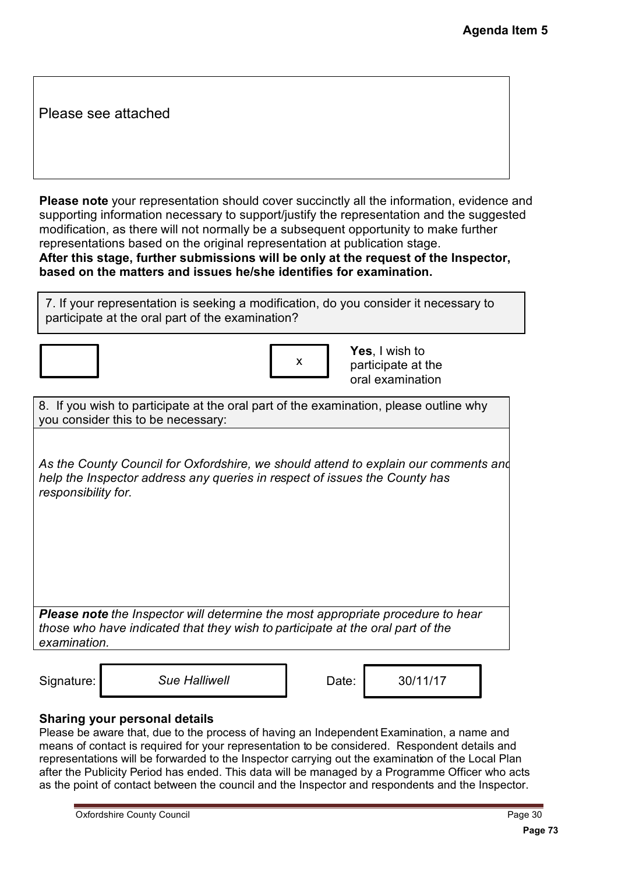Please see attached

**Please note** your representation should cover succinctly all the information, evidence and supporting information necessary to support/justify the representation and the suggested modification, as there will not normally be a subsequent opportunity to make further representations based on the original representation at publication stage. **After this stage, further submissions will be only at the request of the Inspector, based on the matters and issues he/she identifies for examination. Agenda Item 5**<br>
Pyidence and<br>
Pagested<br>
further<br> **spector,**<br>
any to<br>
why<br>
why<br>
why<br> **Pagester and<br>
Page 30**<br>
Page 30<br>
Page 73<br>
Page 73<br>
Page 30<br>
Page 73

7. If your representation is seeking a modification, do you consider it necessary to participate at the oral part of the examination?

| X |  |
|---|--|
|   |  |

**Yes**, I wish to participate at the oral examination

| 8. If you wish to participate at the oral part of the examination, please outline why |  |
|---------------------------------------------------------------------------------------|--|
| you consider this to be necessary:                                                    |  |

*As the County Council for Oxfordshire, we should attend to explain our comments and help the Inspector address any queries in respect of issues the County has responsibility for.*

*Please note the Inspector will determine the most appropriate procedure to hear those who have indicated that they wish to participate at the oral part of the examination.*

Signature: Sue Halliwell **Date:** 1 30/11/17

#### **Sharing your personal details**

Please be aware that, due to the process of having an Independent Examination, a name and means of contact is required for your representation to be considered. Respondent details and representations will be forwarded to the Inspector carrying out the examination of the Local Plan after the Publicity Period has ended. This data will be managed by a Programme Officer who acts as the point of contact between the council and the Inspector and respondents and the Inspector.